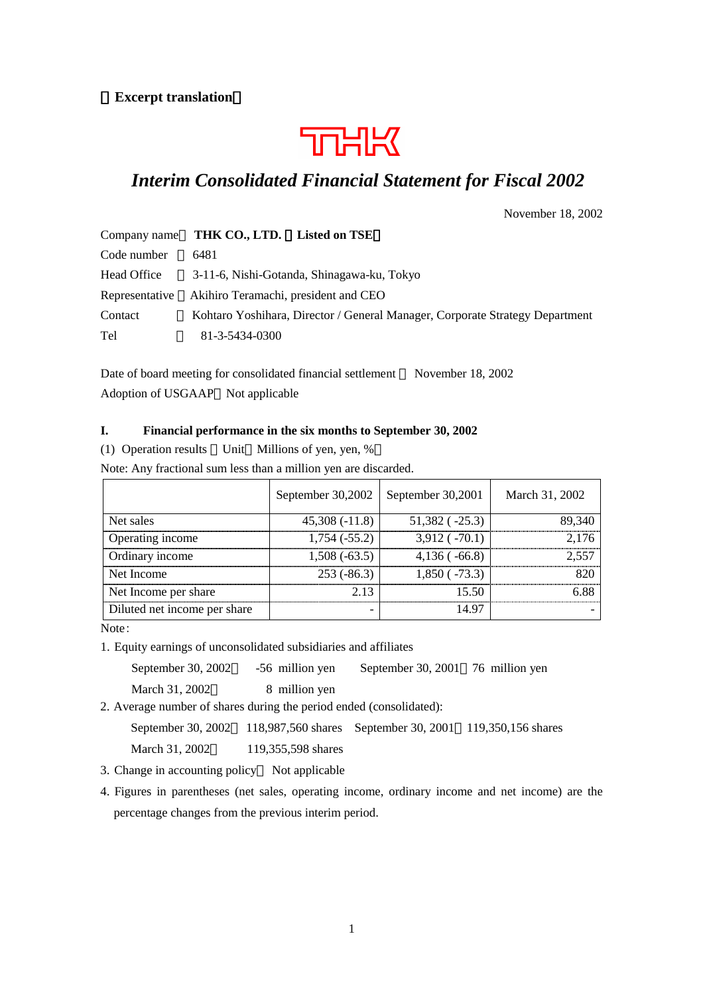#### **Excerpt translation**



# *Interim Consolidated Financial Statement for Fiscal 2002*

November 18, 2002

|                | Company name THK CO., LTD. Listed on TSE                                     |
|----------------|------------------------------------------------------------------------------|
| Code number    | 6481                                                                         |
| Head Office    | 3-11-6, Nishi-Gotanda, Shinagawa-ku, Tokyo                                   |
| Representative | Akihiro Teramachi, president and CEO                                         |
| Contact        | Kohtaro Yoshihara, Director / General Manager, Corporate Strategy Department |
| Tel            | 81-3-5434-0300                                                               |

Date of board meeting for consolidated financial settlement November 18, 2002 Adoption of USGAAP Not applicable

#### **I. Financial performance in the six months to September 30, 2002**

(1) Operation results Unit Millions of yen, yen, %

Note: Any fractional sum less than a million yen are discarded.

|                              | September 30,2002   September 30,2001 |                      | March 31, 2002 |
|------------------------------|---------------------------------------|----------------------|----------------|
| Net sales                    | $45,308(-11.8)$                       | $51,382$ ( $-25.3$ ) | 89.340         |
| Operating income             | $1,754(-55.2)$                        | $3,912$ ( $-70.1$ )  | 2 176          |
| Ordinary income              | $1,508(-63.5)$                        | $4,136$ ( $-66.8$ )  |                |
| Net Income                   | $253(-86.3)$                          | $1,850(-73.3)$       |                |
| Net Income per share         | 2.13                                  | 15.50                |                |
| Diluted net income per share |                                       | 14 97                |                |

Note:

1. Equity earnings of unconsolidated subsidiaries and affiliates

September 30, 2002 - 56 million yen September 30, 2001 76 million yen

March 31, 2002 8 million yen

2. Average number of shares during the period ended (consolidated):

```
September 30, 2002 118,987,560 shares September 30, 2001 119,350,156 shares
```
March 31, 2002 119,355,598 shares

- 3. Change in accounting policy Not applicable
- 4. Figures in parentheses (net sales, operating income, ordinary income and net income) are the percentage changes from the previous interim period.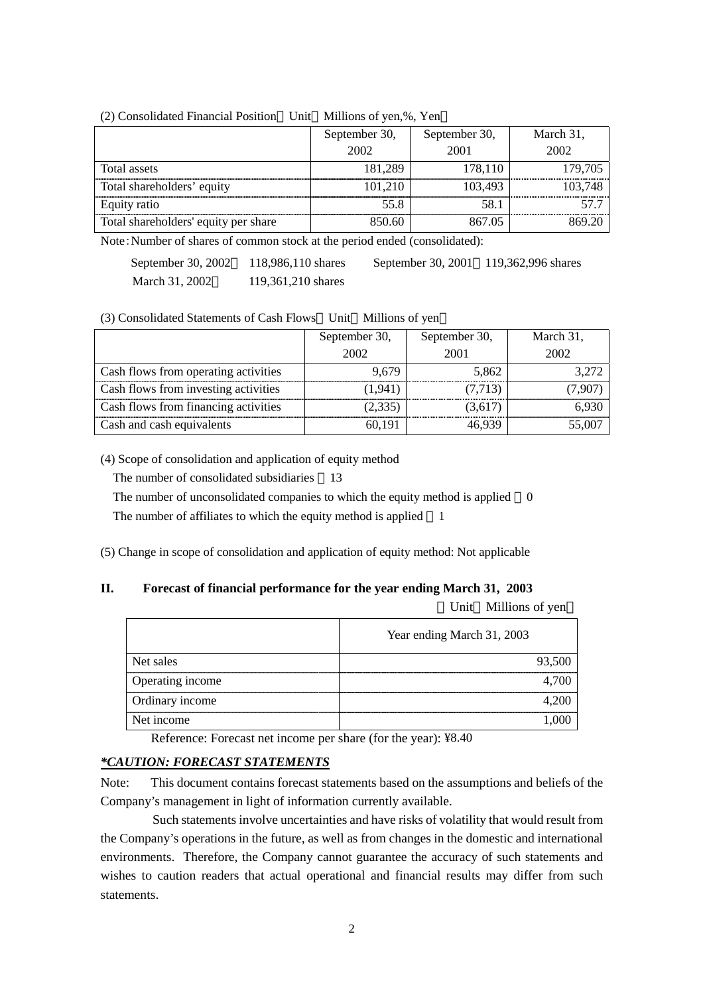|                                      | September 30, | September 30, |         |
|--------------------------------------|---------------|---------------|---------|
|                                      | 2002          | 2001          | 2002    |
| Total assets                         | 181,289       | 178,110       | 179,705 |
| Total shareholders' equity           | 101,210       | 103.493       | 103,748 |
| Equity ratio                         | 55.8          | 58.1          |         |
| Total shareholders' equity per share | 850.60        | 867.05        |         |

#### (2) Consolidated Financial Position Unit Millions of yen,%, Yen

Note:Number of shares of common stock at the period ended (consolidated):

| September 30, 2002 | 118,986,110 shares |
|--------------------|--------------------|
| March 31, 2002     | 119,361,210 shares |

September 30, 2001 119,362,996 shares

(3) Consolidated Statements of Cash Flows Unit Millions of yen

|                                      | September 30, | September 30, | March 31, |
|--------------------------------------|---------------|---------------|-----------|
|                                      | 2002          | 2001          | 2002      |
| Cash flows from operating activities | 9.679         | 5,862         | 3.272     |
| Cash flows from investing activities | (1,941)       | (7,713)       | 7.907     |
| Cash flows from financing activities | (2,335)       | (3,617)       | 6.930     |
| Cash and cash equivalents            | 60,191        | 16 939        | 55,007    |

(4) Scope of consolidation and application of equity method

The number of consolidated subsidiaries 13

The number of unconsolidated companies to which the equity method is applied 0

The number of affiliates to which the equity method is applied 1

(5) Change in scope of consolidation and application of equity method: Not applicable

#### **II. Forecast of financial performance for the year ending March 31, 2003**  Unit Millions of yen

|                  | Year ending March 31, 2003 |
|------------------|----------------------------|
| Net sales        |                            |
| Operating income |                            |
| Ordinary income  |                            |
| Net income       |                            |

Reference: Forecast net income per share (for the year): ¥8.40

#### *\*CAUTION: FORECAST STATEMENTS*

Note: This document contains forecast statements based on the assumptions and beliefs of the Company's management in light of information currently available.

Such statements involve uncertainties and have risks of volatility that would result from the Company's operations in the future, as well as from changes in the domestic and international environments. Therefore, the Company cannot guarantee the accuracy of such statements and wishes to caution readers that actual operational and financial results may differ from such statements.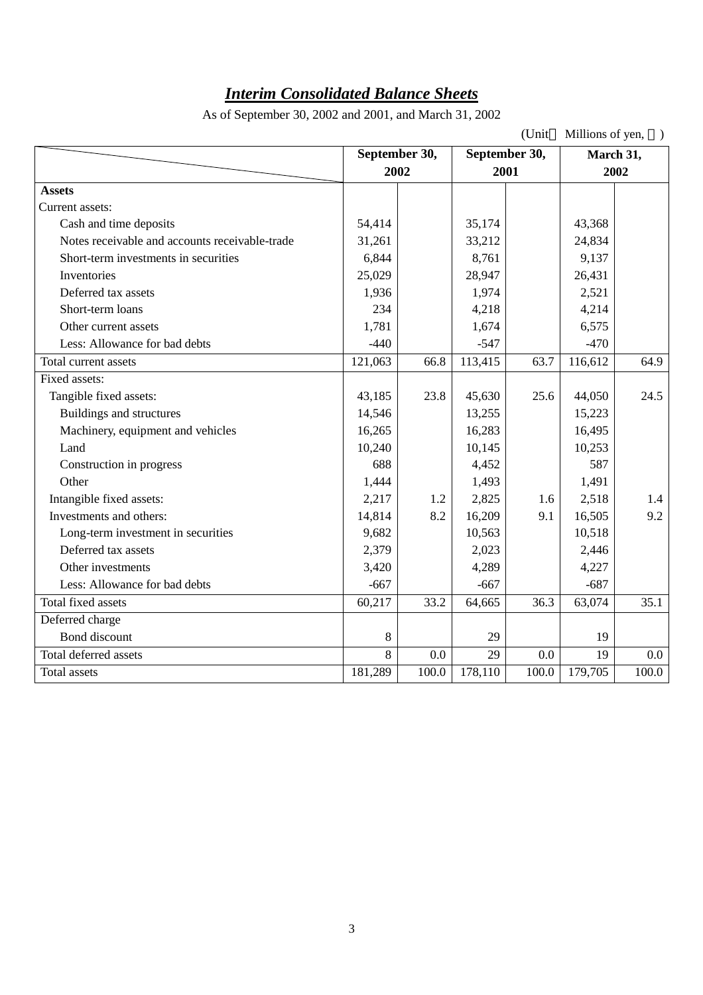# *Interim Consolidated Balance Sheets*

As of September 30, 2002 and 2001, and March 31, 2002

| (Unit<br>Millions of yen,                      |         |                                                |         |       |         |           |
|------------------------------------------------|---------|------------------------------------------------|---------|-------|---------|-----------|
|                                                |         | September 30,<br>September 30,<br>2002<br>2001 |         |       |         | March 31, |
|                                                |         |                                                |         |       | 2002    |           |
| <b>Assets</b>                                  |         |                                                |         |       |         |           |
| Current assets:                                |         |                                                |         |       |         |           |
| Cash and time deposits                         | 54,414  |                                                | 35,174  |       | 43,368  |           |
| Notes receivable and accounts receivable-trade | 31,261  |                                                | 33,212  |       | 24,834  |           |
| Short-term investments in securities           | 6,844   |                                                | 8,761   |       | 9,137   |           |
| Inventories                                    | 25,029  |                                                | 28,947  |       | 26,431  |           |
| Deferred tax assets                            | 1,936   |                                                | 1,974   |       | 2,521   |           |
| Short-term loans                               | 234     |                                                | 4,218   |       | 4,214   |           |
| Other current assets                           | 1,781   |                                                | 1,674   |       | 6,575   |           |
| Less: Allowance for bad debts                  | $-440$  |                                                | $-547$  |       | $-470$  |           |
| Total current assets                           | 121,063 | 66.8                                           | 113,415 | 63.7  | 116,612 | 64.9      |
| Fixed assets:                                  |         |                                                |         |       |         |           |
| Tangible fixed assets:                         | 43,185  | 23.8                                           | 45,630  | 25.6  | 44,050  | 24.5      |
| Buildings and structures                       | 14,546  |                                                | 13,255  |       | 15,223  |           |
| Machinery, equipment and vehicles              | 16,265  |                                                | 16,283  |       | 16,495  |           |
| Land                                           | 10,240  |                                                | 10,145  |       | 10,253  |           |
| Construction in progress                       | 688     |                                                | 4,452   |       | 587     |           |
| Other                                          | 1,444   |                                                | 1,493   |       | 1,491   |           |
| Intangible fixed assets:                       | 2,217   | 1.2                                            | 2,825   | 1.6   | 2,518   | 1.4       |
| Investments and others:                        | 14,814  | 8.2                                            | 16,209  | 9.1   | 16,505  | 9.2       |
| Long-term investment in securities             | 9,682   |                                                | 10,563  |       | 10,518  |           |
| Deferred tax assets                            | 2,379   |                                                | 2,023   |       | 2,446   |           |
| Other investments                              | 3,420   |                                                | 4,289   |       | 4,227   |           |
| Less: Allowance for bad debts                  | $-667$  |                                                | $-667$  |       | $-687$  |           |
| Total fixed assets                             | 60,217  | 33.2                                           | 64,665  | 36.3  | 63,074  | 35.1      |
| Deferred charge                                |         |                                                |         |       |         |           |
| Bond discount                                  | 8       |                                                | 29      |       | 19      |           |
| Total deferred assets                          | 8       | 0.0                                            | 29      | 0.0   | 19      | $0.0\,$   |
| Total assets                                   | 181,289 | 100.0                                          | 178,110 | 100.0 | 179,705 | 100.0     |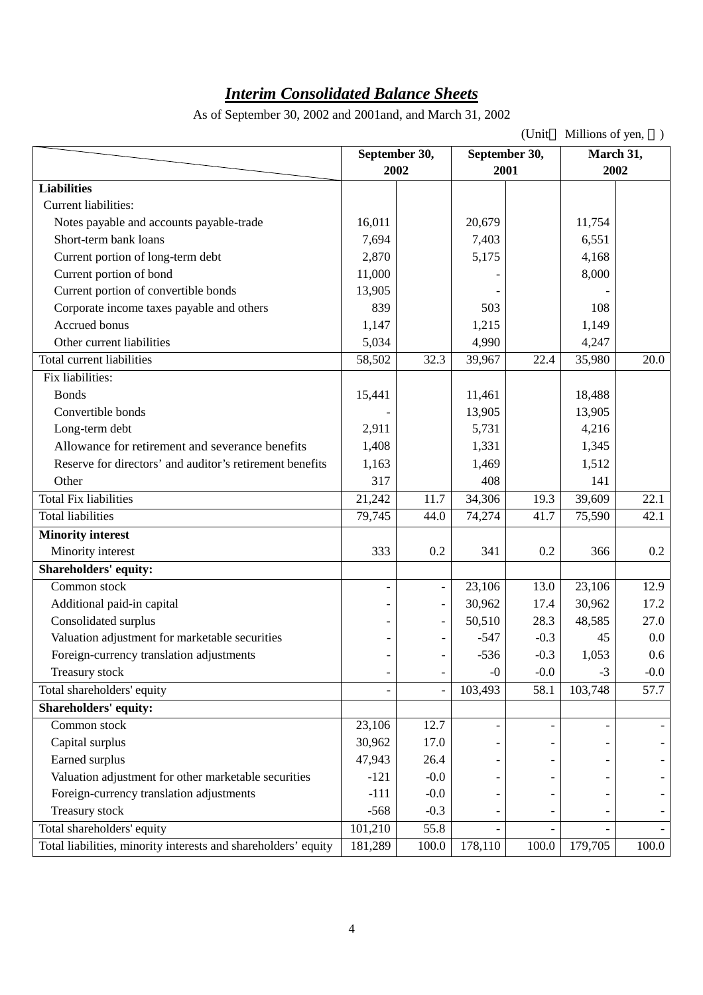# *Interim Consolidated Balance Sheets*

As of September 30, 2002 and 2001and, and March 31, 2002

| (Unit<br>Millions of yen,                                      |               |                          |                          |               |           |         |
|----------------------------------------------------------------|---------------|--------------------------|--------------------------|---------------|-----------|---------|
|                                                                | September 30, |                          |                          | September 30, | March 31, |         |
|                                                                | 2002          |                          | 2001                     |               | 2002      |         |
| <b>Liabilities</b>                                             |               |                          |                          |               |           |         |
| Current liabilities:                                           |               |                          |                          |               |           |         |
| Notes payable and accounts payable-trade                       | 16,011        |                          | 20,679                   |               | 11,754    |         |
| Short-term bank loans                                          | 7,694         |                          | 7,403                    |               | 6,551     |         |
| Current portion of long-term debt                              | 2,870         |                          | 5,175                    |               | 4,168     |         |
| Current portion of bond                                        | 11,000        |                          |                          |               | 8,000     |         |
| Current portion of convertible bonds                           | 13,905        |                          |                          |               |           |         |
| Corporate income taxes payable and others                      | 839           |                          | 503                      |               | 108       |         |
| Accrued bonus                                                  | 1,147         |                          | 1,215                    |               | 1,149     |         |
| Other current liabilities                                      | 5,034         |                          | 4,990                    |               | 4,247     |         |
| <b>Total current liabilities</b>                               | 58,502        | 32.3                     | 39,967                   | 22.4          | 35,980    | 20.0    |
| Fix liabilities:                                               |               |                          |                          |               |           |         |
| <b>Bonds</b>                                                   | 15,441        |                          | 11,461                   |               | 18,488    |         |
| Convertible bonds                                              |               |                          | 13,905                   |               | 13,905    |         |
| Long-term debt                                                 | 2,911         |                          | 5,731                    |               | 4,216     |         |
| Allowance for retirement and severance benefits                | 1,408         |                          | 1,331                    |               | 1,345     |         |
| Reserve for directors' and auditor's retirement benefits       | 1,163         |                          | 1,469                    |               | 1,512     |         |
| Other                                                          | 317           |                          | 408                      |               | 141       |         |
| <b>Total Fix liabilities</b>                                   | 21,242        | 11.7                     | 34,306                   | 19.3          | 39,609    | 22.1    |
| <b>Total liabilities</b>                                       | 79,745        | 44.0                     | 74,274                   | 41.7          | 75,590    | 42.1    |
| <b>Minority interest</b>                                       |               |                          |                          |               |           |         |
| Minority interest                                              | 333           | 0.2                      | 341                      | 0.2           | 366       | 0.2     |
| <b>Shareholders' equity:</b>                                   |               |                          |                          |               |           |         |
| Common stock                                                   |               | $\overline{\phantom{0}}$ | 23,106                   | 13.0          | 23,106    | 12.9    |
| Additional paid-in capital                                     |               | $\overline{\phantom{a}}$ | 30,962                   | 17.4          | 30,962    | 17.2    |
| Consolidated surplus                                           |               | $\overline{\phantom{a}}$ | 50,510                   | 28.3          | 48,585    | 27.0    |
| Valuation adjustment for marketable securities                 |               |                          | $-547$                   | $-0.3$        | 45        | $0.0\,$ |
| Foreign-currency translation adjustments                       |               |                          | $-536$                   | $-0.3$        | 1,053     | 0.6     |
| Treasury stock                                                 |               | $\overline{\phantom{a}}$ | $-0$                     | $-0.0$        | $-3$      | $-0.0$  |
| Total shareholders' equity                                     |               |                          | 103,493                  | 58.1          | 103,748   | 57.7    |
| <b>Shareholders' equity:</b>                                   |               |                          |                          |               |           |         |
| Common stock                                                   | 23,106        | 12.7                     | $\overline{\phantom{0}}$ |               |           |         |
| Capital surplus                                                | 30,962        | 17.0                     |                          |               |           |         |
| Earned surplus                                                 | 47,943        | 26.4                     |                          |               |           |         |
| Valuation adjustment for other marketable securities           | $-121$        | $-0.0$                   |                          |               |           |         |
| Foreign-currency translation adjustments                       | $-111$        | $-0.0$                   |                          |               |           |         |
| Treasury stock                                                 | $-568$        | $-0.3$                   |                          |               |           |         |
| Total shareholders' equity                                     | 101,210       | 55.8                     |                          |               |           |         |
| Total liabilities, minority interests and shareholders' equity | 181,289       | 100.0                    | 178,110                  | 100.0         | 179,705   | 100.0   |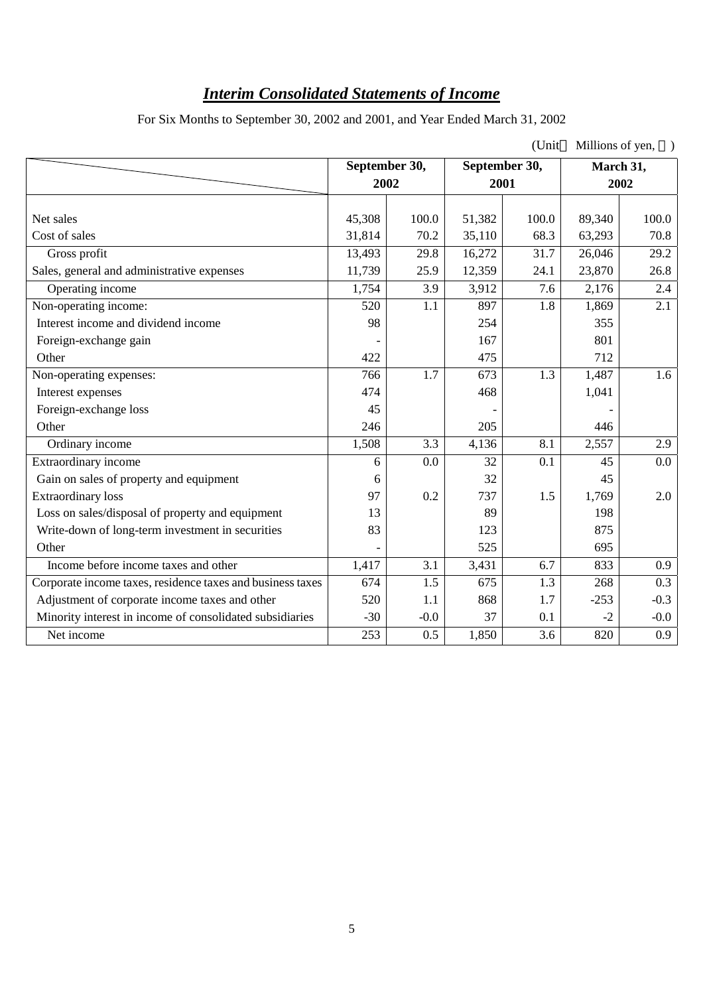# *Interim Consolidated Statements of Income*

For Six Months to September 30, 2002 and 2001, and Year Ended March 31, 2002

|                                                            |                       |        |        | (Unit         | Millions of yen, |           |
|------------------------------------------------------------|-----------------------|--------|--------|---------------|------------------|-----------|
|                                                            | September 30,<br>2002 |        |        | September 30, |                  | March 31, |
|                                                            |                       |        | 2001   |               | 2002             |           |
| Net sales                                                  | 45,308                | 100.0  | 51,382 | 100.0         | 89,340           | 100.0     |
| Cost of sales                                              |                       | 70.2   |        | 68.3          |                  | 70.8      |
|                                                            | 31,814                |        | 35,110 |               | 63,293           |           |
| Gross profit                                               | 13,493                | 29.8   | 16,272 | 31.7          | 26,046           | 29.2      |
| Sales, general and administrative expenses                 | 11,739                | 25.9   | 12,359 | 24.1          | 23,870           | 26.8      |
| Operating income                                           | 1,754                 | 3.9    | 3,912  | 7.6           | 2,176            | 2.4       |
| Non-operating income:                                      | 520                   | 1.1    | 897    | 1.8           | 1,869            | 2.1       |
| Interest income and dividend income                        | 98                    |        | 254    |               | 355              |           |
| Foreign-exchange gain                                      |                       |        | 167    |               | 801              |           |
| Other                                                      | 422                   |        | 475    |               | 712              |           |
| Non-operating expenses:                                    | 766                   | 1.7    | 673    | 1.3           | 1,487            | 1.6       |
| Interest expenses                                          | 474                   |        | 468    |               | 1,041            |           |
| Foreign-exchange loss                                      | 45                    |        |        |               |                  |           |
| Other                                                      | 246                   |        | 205    |               | 446              |           |
| Ordinary income                                            | 1,508                 | 3.3    | 4,136  | 8.1           | 2,557            | 2.9       |
| Extraordinary income                                       | 6                     | 0.0    | 32     | 0.1           | 45               | 0.0       |
| Gain on sales of property and equipment                    | 6                     |        | 32     |               | 45               |           |
| <b>Extraordinary</b> loss                                  | 97                    | 0.2    | 737    | 1.5           | 1,769            | 2.0       |
| Loss on sales/disposal of property and equipment           | 13                    |        | 89     |               | 198              |           |
| Write-down of long-term investment in securities           | 83                    |        | 123    |               | 875              |           |
| Other                                                      |                       |        | 525    |               | 695              |           |
| Income before income taxes and other                       | 1,417                 | 3.1    | 3,431  | 6.7           | 833              | 0.9       |
| Corporate income taxes, residence taxes and business taxes | 674                   | 1.5    | 675    | 1.3           | 268              | 0.3       |
| Adjustment of corporate income taxes and other             | 520                   | 1.1    | 868    | 1.7           | $-253$           | $-0.3$    |
| Minority interest in income of consolidated subsidiaries   | $-30$                 | $-0.0$ | 37     | 0.1           | $-2$             | $-0.0$    |
| Net income                                                 | 253                   | 0.5    | 1,850  | 3.6           | 820              | 0.9       |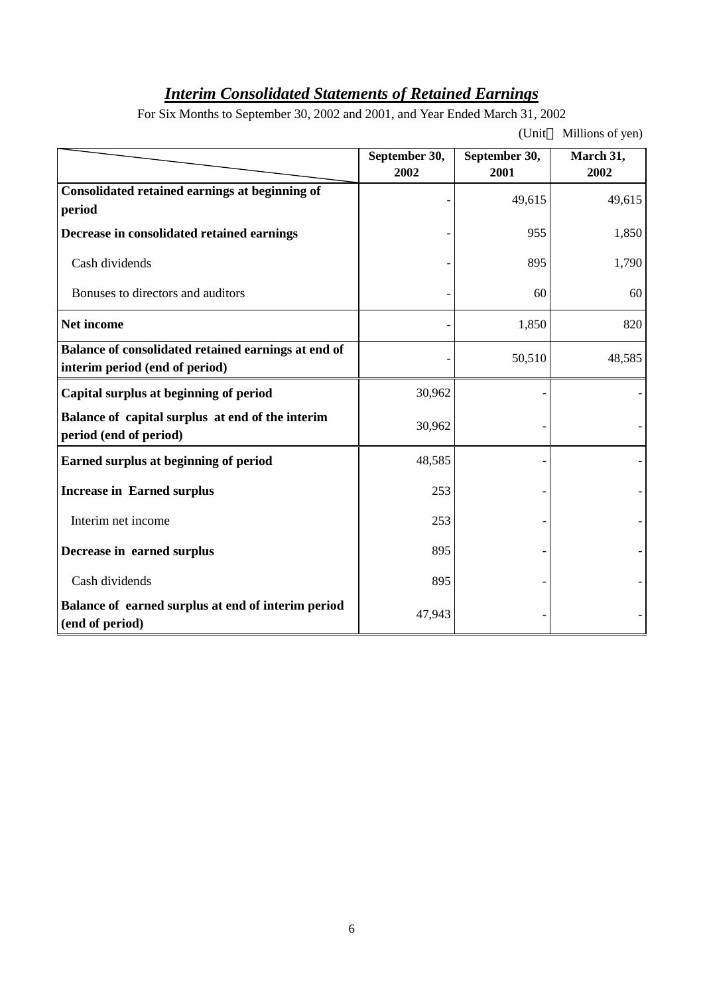# *Interim Consolidated Statements of Retained Earnings*

For Six Months to September 30, 2002 and 2001, and Year Ended March 31, 2002

(Unit Millions of yen)

|                                                                                       | September 30, | September 30, | March 31, |
|---------------------------------------------------------------------------------------|---------------|---------------|-----------|
|                                                                                       | 2002          | 2001          | 2002      |
| Consolidated retained earnings at beginning of<br>period                              |               | 49,615        | 49,615    |
| Decrease in consolidated retained earnings                                            |               | 955           | 1,850     |
| Cash dividends                                                                        |               | 895           | 1,790     |
| Bonuses to directors and auditors                                                     |               | 60            | 60        |
| <b>Net income</b>                                                                     |               | 1,850         | 820       |
| Balance of consolidated retained earnings at end of<br>interim period (end of period) |               | 50,510        | 48,585    |
| Capital surplus at beginning of period                                                | 30,962        |               |           |
| Balance of capital surplus at end of the interim<br>period (end of period)            | 30,962        |               |           |
| Earned surplus at beginning of period                                                 | 48,585        |               |           |
| <b>Increase in Earned surplus</b>                                                     | 253           |               |           |
| Interim net income                                                                    | 253           |               |           |
| Decrease in earned surplus                                                            | 895           |               |           |
| Cash dividends                                                                        | 895           |               |           |
| Balance of earned surplus at end of interim period<br>(end of period)                 | 47,943        |               |           |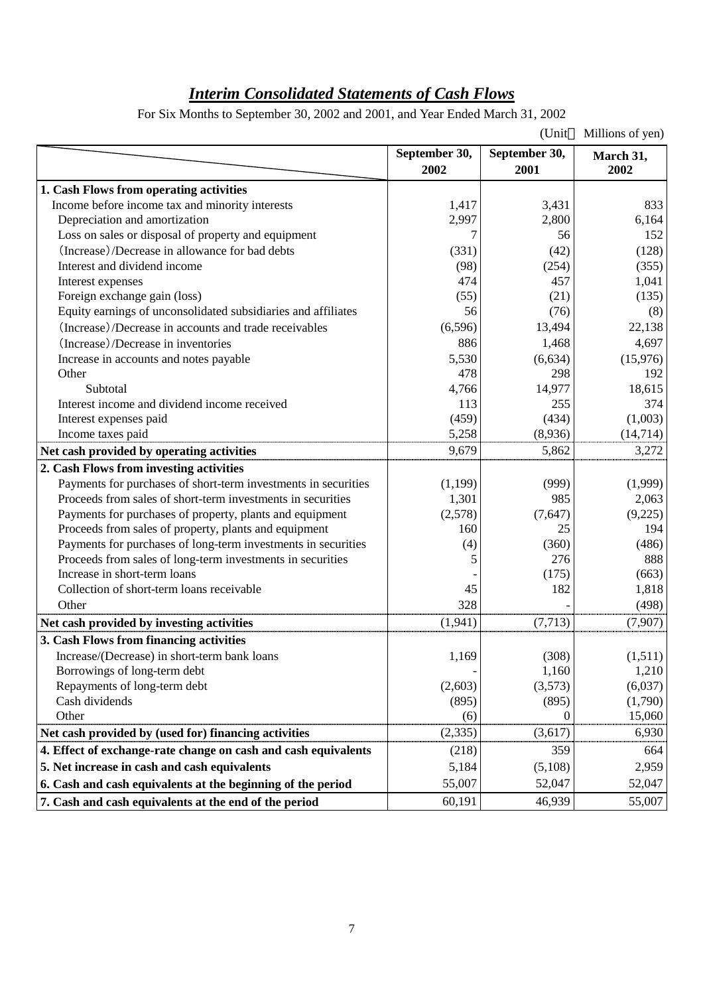# *Interim Consolidated Statements of Cash Flows*

For Six Months to September 30, 2002 and 2001, and Year Ended March 31, 2002

|                                                                |                       | (Unit                 | Millions of yen)  |
|----------------------------------------------------------------|-----------------------|-----------------------|-------------------|
|                                                                | September 30,<br>2002 | September 30,<br>2001 | March 31,<br>2002 |
| 1. Cash Flows from operating activities                        |                       |                       |                   |
| Income before income tax and minority interests                | 1,417                 | 3,431                 | 833               |
| Depreciation and amortization                                  | 2,997                 | 2,800                 | 6,164             |
| Loss on sales or disposal of property and equipment            |                       | 56                    | 152               |
| (Increase)/Decrease in allowance for bad debts                 | (331)                 | (42)                  | (128)             |
| Interest and dividend income                                   | (98)                  | (254)                 | (355)             |
| Interest expenses                                              | 474                   | 457                   | 1,041             |
| Foreign exchange gain (loss)                                   | (55)                  | (21)                  | (135)             |
| Equity earnings of unconsolidated subsidiaries and affiliates  | 56                    | (76)                  | (8)               |
| (Increase)/Decrease in accounts and trade receivables          | (6,596)               | 13,494                | 22,138            |
| (Increase)/Decrease in inventories                             | 886                   | 1,468                 | 4,697             |
| Increase in accounts and notes payable                         | 5,530                 | (6,634)               | (15,976)          |
| Other                                                          | 478                   | 298                   | 192               |
| Subtotal                                                       | 4,766                 | 14,977                | 18,615            |
| Interest income and dividend income received                   | 113                   | 255                   | 374               |
| Interest expenses paid                                         | (459)                 | (434)                 | (1,003)           |
| Income taxes paid                                              | 5,258                 | (8,936)               | (14, 714)         |
| Net cash provided by operating activities                      | 9,679                 | 5,862                 | 3,272             |
| 2. Cash Flows from investing activities                        |                       |                       |                   |
| Payments for purchases of short-term investments in securities | (1,199)               | (999)                 | (1,999)           |
| Proceeds from sales of short-term investments in securities    | 1,301                 | 985                   | 2,063             |
| Payments for purchases of property, plants and equipment       | (2,578)               | (7,647)               | (9,225)           |
| Proceeds from sales of property, plants and equipment          | 160                   | 25                    | 194               |
| Payments for purchases of long-term investments in securities  | (4)                   | (360)                 | (486)             |
| Proceeds from sales of long-term investments in securities     | 5                     | 276                   | 888               |
| Increase in short-term loans                                   |                       | (175)                 | (663)             |
| Collection of short-term loans receivable                      | 45                    | 182                   | 1,818             |
| Other                                                          | 328                   |                       | (498)             |
| Net cash provided by investing activities                      | (1,941)               | (7, 713)              | (7,907)           |
| 3. Cash Flows from financing activities                        |                       |                       |                   |
| Increase/(Decrease) in short-term bank loans                   | 1,169                 | (308)                 | (1,511)           |
| Borrowings of long-term debt                                   |                       | 1,160                 | 1,210             |
| Repayments of long-term debt                                   | (2,603)               | (3,573)               | (6,037)           |
| Cash dividends                                                 | (895)                 | (895)                 | (1,790)           |
| Other                                                          | (6)                   | 0                     | 15,060            |
| Net cash provided by (used for) financing activities           | (2, 335)              | (3,617)               | 6,930             |
| 4. Effect of exchange-rate change on cash and cash equivalents | (218)                 | 359                   | 664               |
| 5. Net increase in cash and cash equivalents                   | 5,184                 | (5,108)               | 2,959             |
| 6. Cash and cash equivalents at the beginning of the period    | 55,007                | 52,047                | 52,047            |
| 7. Cash and cash equivalents at the end of the period          | 60,191                | 46,939                | 55,007            |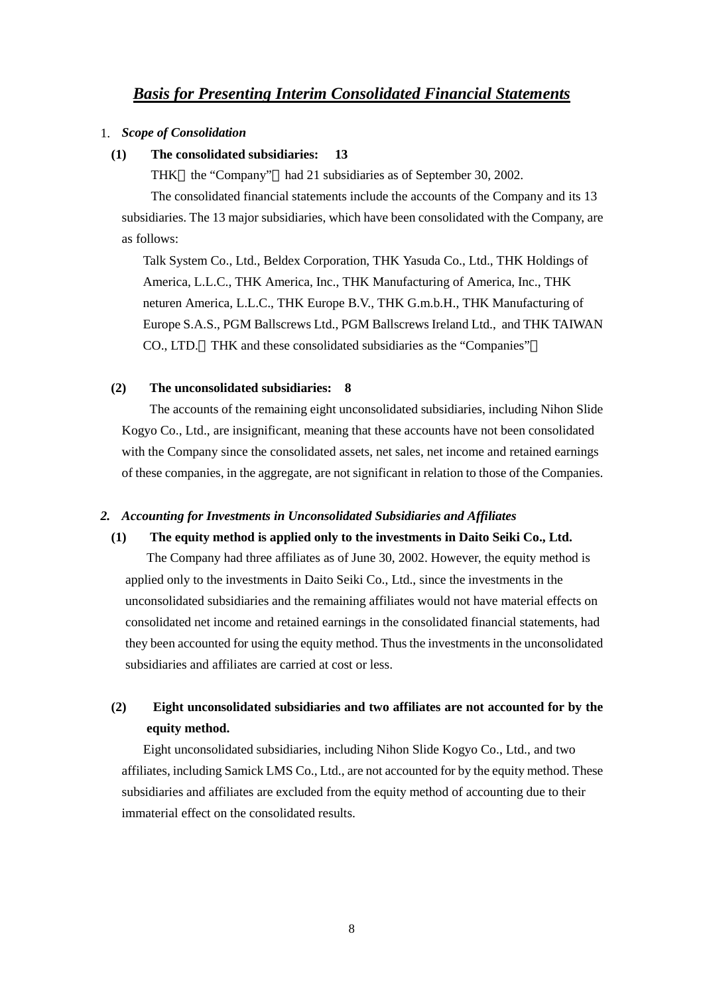#### *Basis for Presenting Interim Consolidated Financial Statements*

#### 1. *Scope of Consolidation*

#### **(1) The consolidated subsidiaries: 13**

THK the "Company" had 21 subsidiaries as of September 30, 2002.

The consolidated financial statements include the accounts of the Company and its 13 subsidiaries. The 13 major subsidiaries, which have been consolidated with the Company, are as follows:

Talk System Co., Ltd., Beldex Corporation, THK Yasuda Co., Ltd., THK Holdings of America, L.L.C., THK America, Inc., THK Manufacturing of America, Inc., THK neturen America, L.L.C., THK Europe B.V., THK G.m.b.H., THK Manufacturing of Europe S.A.S., PGM Ballscrews Ltd., PGM Ballscrews Ireland Ltd., and THK TAIWAN CO., LTD. THK and these consolidated subsidiaries as the "Companies"

#### **(2) The unconsolidated subsidiaries: 8**

 The accounts of the remaining eight unconsolidated subsidiaries, including Nihon Slide Kogyo Co., Ltd., are insignificant, meaning that these accounts have not been consolidated with the Company since the consolidated assets, net sales, net income and retained earnings of these companies, in the aggregate, are not significant in relation to those of the Companies.

#### *2. Accounting for Investments in Unconsolidated Subsidiaries and Affiliates*

#### **(1) The equity method is applied only to the investments in Daito Seiki Co., Ltd.**

The Company had three affiliates as of June 30, 2002. However, the equity method is applied only to the investments in Daito Seiki Co., Ltd., since the investments in the unconsolidated subsidiaries and the remaining affiliates would not have material effects on consolidated net income and retained earnings in the consolidated financial statements, had they been accounted for using the equity method. Thus the investments in the unconsolidated subsidiaries and affiliates are carried at cost or less.

### **(2) Eight unconsolidated subsidiaries and two affiliates are not accounted for by the equity method.**

Eight unconsolidated subsidiaries, including Nihon Slide Kogyo Co., Ltd., and two affiliates, including Samick LMS Co., Ltd., are not accounted for by the equity method. These subsidiaries and affiliates are excluded from the equity method of accounting due to their immaterial effect on the consolidated results.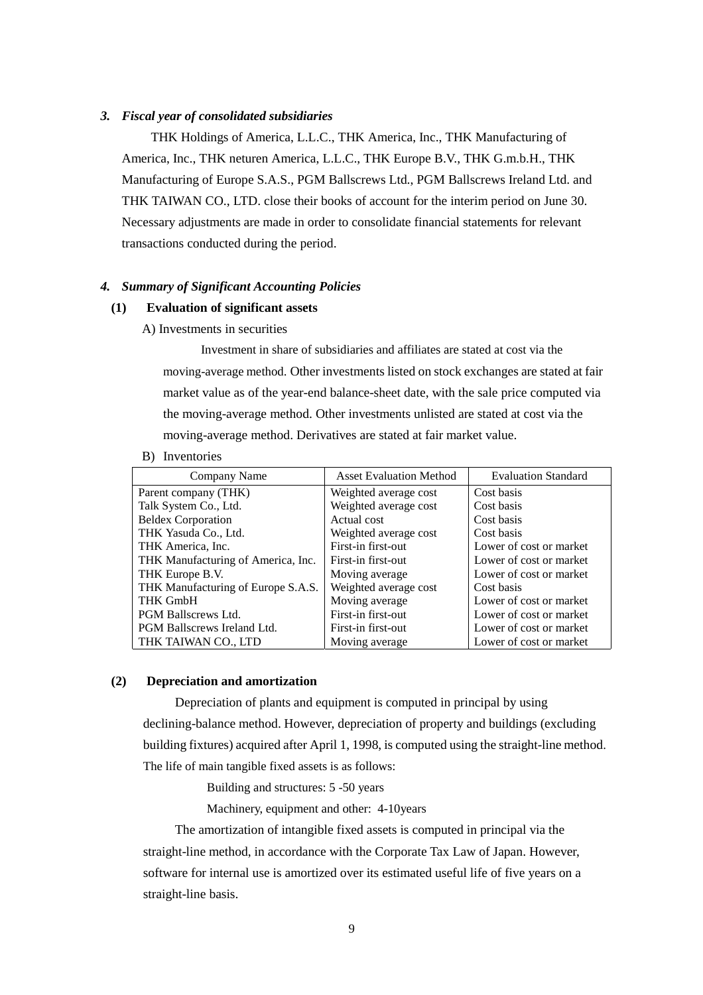#### *3. Fiscal year of consolidated subsidiaries*

 THK Holdings of America, L.L.C., THK America, Inc., THK Manufacturing of America, Inc., THK neturen America, L.L.C., THK Europe B.V., THK G.m.b.H., THK Manufacturing of Europe S.A.S., PGM Ballscrews Ltd., PGM Ballscrews Ireland Ltd. and THK TAIWAN CO., LTD. close their books of account for the interim period on June 30. Necessary adjustments are made in order to consolidate financial statements for relevant transactions conducted during the period.

#### *4. Summary of Significant Accounting Policies*

#### **(1) Evaluation of significant assets**

A) Investments in securities

Investment in share of subsidiaries and affiliates are stated at cost via the moving-average method. Other investments listed on stock exchanges are stated at fair market value as of the year-end balance-sheet date, with the sale price computed via the moving-average method. Other investments unlisted are stated at cost via the moving-average method. Derivatives are stated at fair market value.

B) Inventories

| Company Name                       | <b>Asset Evaluation Method</b> | <b>Evaluation Standard</b> |
|------------------------------------|--------------------------------|----------------------------|
| Parent company (THK)               | Weighted average cost          | Cost basis                 |
| Talk System Co., Ltd.              | Weighted average cost          | Cost basis                 |
| <b>Beldex Corporation</b>          | Actual cost                    | Cost basis                 |
| THK Yasuda Co., Ltd.               | Weighted average cost          | Cost basis                 |
| THK America, Inc.                  | First-in first-out             | Lower of cost or market    |
| THK Manufacturing of America, Inc. | First-in first-out             | Lower of cost or market    |
| THK Europe B.V.                    | Moving average                 | Lower of cost or market    |
| THK Manufacturing of Europe S.A.S. | Weighted average cost          | Cost basis                 |
| <b>THK GmbH</b>                    | Moving average                 | Lower of cost or market    |
| <b>PGM Ballscrews Ltd.</b>         | First-in first-out             | Lower of cost or market    |
| PGM Ballscrews Ireland Ltd.        | First-in first-out             | Lower of cost or market    |
| THK TAIWAN CO., LTD                | Moving average                 | Lower of cost or market    |

#### **(2) Depreciation and amortization**

Depreciation of plants and equipment is computed in principal by using declining-balance method. However, depreciation of property and buildings (excluding building fixtures) acquired after April 1, 1998, is computed using the straight-line method. The life of main tangible fixed assets is as follows:

Building and structures: 5 -50 years

Machinery, equipment and other: 4-10years

The amortization of intangible fixed assets is computed in principal via the straight-line method, in accordance with the Corporate Tax Law of Japan. However, software for internal use is amortized over its estimated useful life of five years on a straight-line basis.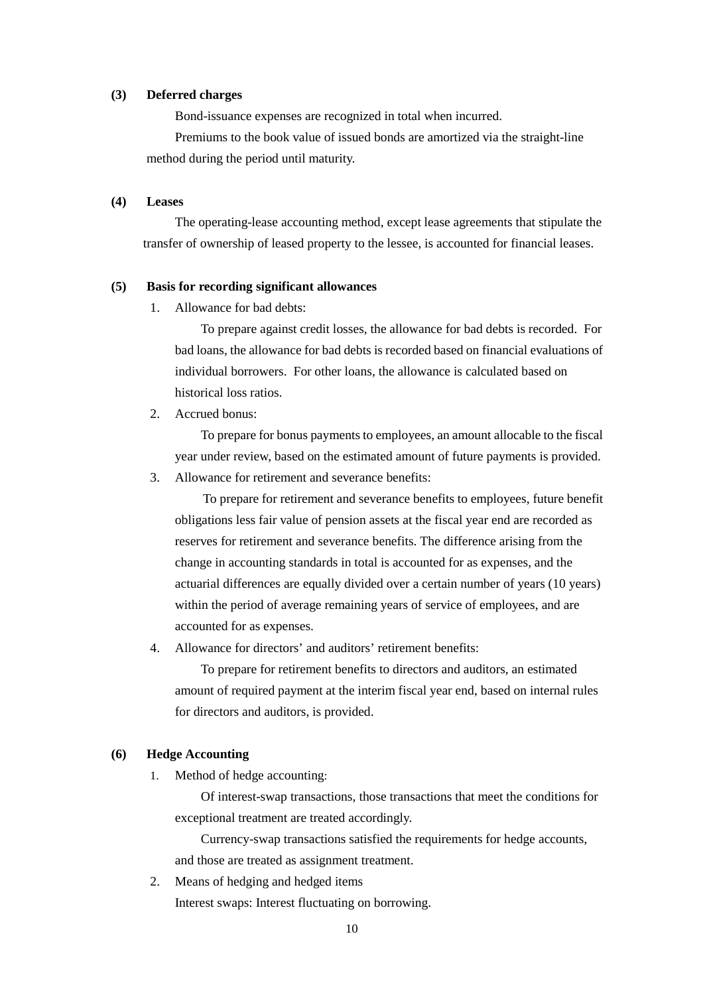#### **(3) Deferred charges**

Bond-issuance expenses are recognized in total when incurred.

Premiums to the book value of issued bonds are amortized via the straight-line method during the period until maturity.

#### **(4) Leases**

The operating-lease accounting method, except lease agreements that stipulate the transfer of ownership of leased property to the lessee, is accounted for financial leases.

#### **(5) Basis for recording significant allowances**

1. Allowance for bad debts:

To prepare against credit losses, the allowance for bad debts is recorded. For bad loans, the allowance for bad debts is recorded based on financial evaluations of individual borrowers. For other loans, the allowance is calculated based on historical loss ratios.

2. Accrued bonus:

To prepare for bonus payments to employees, an amount allocable to the fiscal year under review, based on the estimated amount of future payments is provided.

3. Allowance for retirement and severance benefits:

To prepare for retirement and severance benefits to employees, future benefit obligations less fair value of pension assets at the fiscal year end are recorded as reserves for retirement and severance benefits. The difference arising from the change in accounting standards in total is accounted for as expenses, and the actuarial differences are equally divided over a certain number of years (10 years) within the period of average remaining years of service of employees, and are accounted for as expenses.

4. Allowance for directors' and auditors' retirement benefits:

To prepare for retirement benefits to directors and auditors, an estimated amount of required payment at the interim fiscal year end, based on internal rules for directors and auditors, is provided.

#### **(6) Hedge Accounting**

1. Method of hedge accounting:

Of interest-swap transactions, those transactions that meet the conditions for exceptional treatment are treated accordingly.

Currency-swap transactions satisfied the requirements for hedge accounts, and those are treated as assignment treatment.

2. Means of hedging and hedged items Interest swaps: Interest fluctuating on borrowing.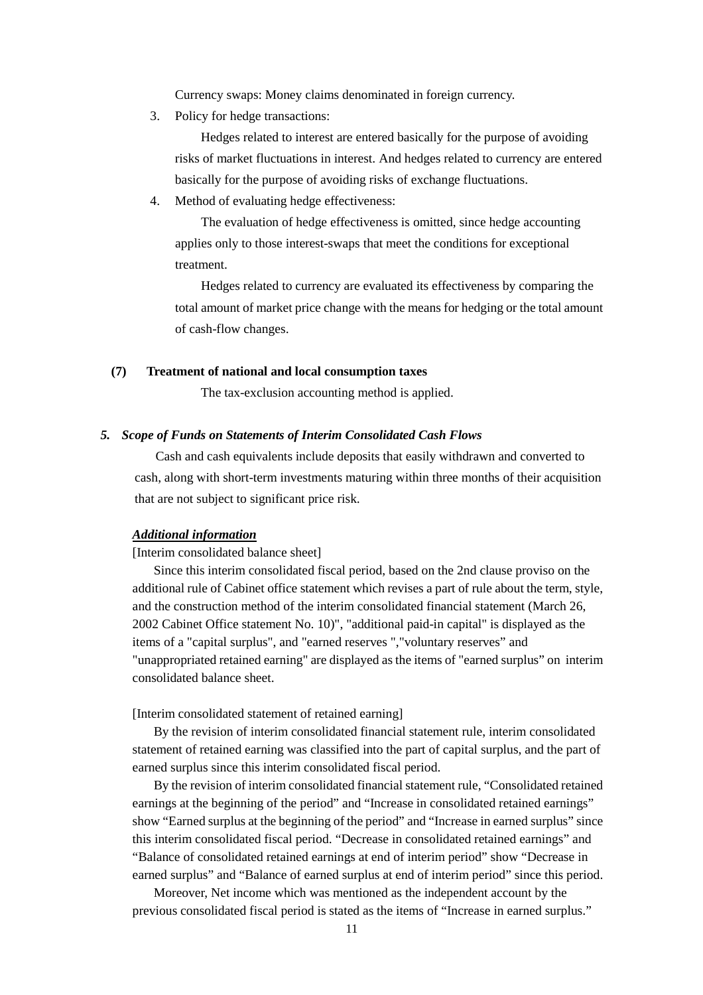Currency swaps: Money claims denominated in foreign currency.

3. Policy for hedge transactions:

Hedges related to interest are entered basically for the purpose of avoiding risks of market fluctuations in interest. And hedges related to currency are entered basically for the purpose of avoiding risks of exchange fluctuations.

4. Method of evaluating hedge effectiveness:

The evaluation of hedge effectiveness is omitted, since hedge accounting applies only to those interest-swaps that meet the conditions for exceptional treatment.

Hedges related to currency are evaluated its effectiveness by comparing the total amount of market price change with the means for hedging or the total amount of cash-flow changes.

#### **(7) Treatment of national and local consumption taxes**

The tax-exclusion accounting method is applied.

#### *5. Scope of Funds on Statements of Interim Consolidated Cash Flows*

Cash and cash equivalents include deposits that easily withdrawn and converted to cash, along with short-term investments maturing within three months of their acquisition that are not subject to significant price risk.

#### *Additional information*

#### [Interim consolidated balance sheet]

Since this interim consolidated fiscal period, based on the 2nd clause proviso on the additional rule of Cabinet office statement which revises a part of rule about the term, style, and the construction method of the interim consolidated financial statement (March 26, 2002 Cabinet Office statement No. 10)", "additional paid-in capital" is displayed as the items of a "capital surplus", and "earned reserves ","voluntary reserves" and "unappropriated retained earning" are displayed as the items of "earned surplus" on interim consolidated balance sheet.

[Interim consolidated statement of retained earning]

By the revision of interim consolidated financial statement rule, interim consolidated statement of retained earning was classified into the part of capital surplus, and the part of earned surplus since this interim consolidated fiscal period.

By the revision of interim consolidated financial statement rule, "Consolidated retained earnings at the beginning of the period" and "Increase in consolidated retained earnings" show "Earned surplus at the beginning of the period" and "Increase in earned surplus" since this interim consolidated fiscal period. "Decrease in consolidated retained earnings" and "Balance of consolidated retained earnings at end of interim period" show "Decrease in earned surplus" and "Balance of earned surplus at end of interim period" since this period.

Moreover, Net income which was mentioned as the independent account by the previous consolidated fiscal period is stated as the items of "Increase in earned surplus."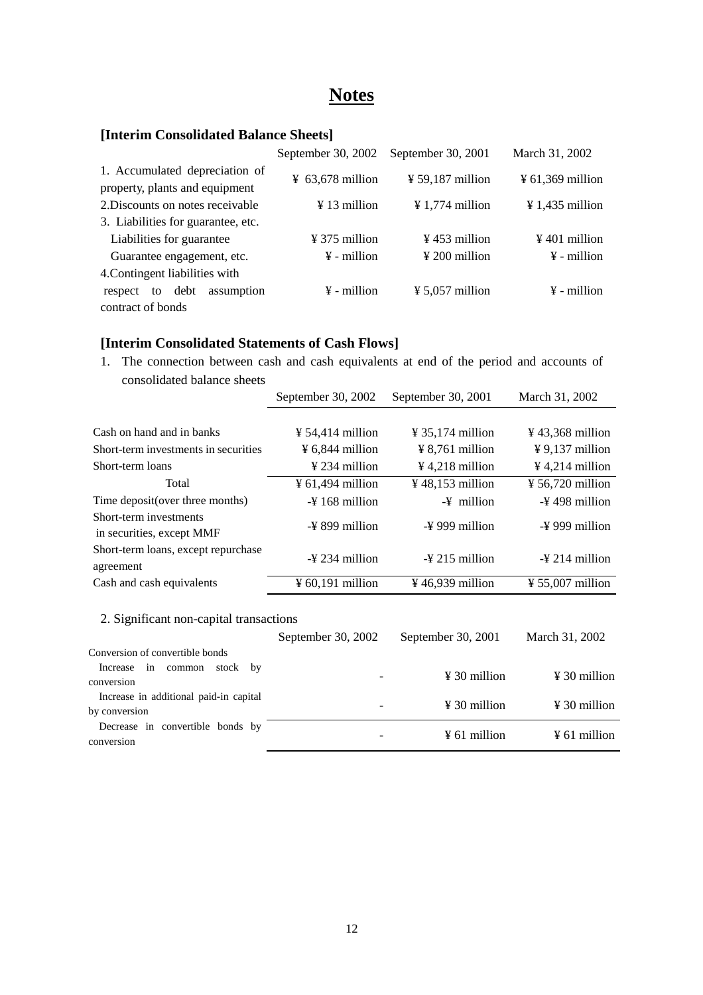# **Notes**

#### **[Interim Consolidated Balance Sheets]**

|                                                                  | September 30, 2002                                           | September 30, 2001          | March 31, 2002               |
|------------------------------------------------------------------|--------------------------------------------------------------|-----------------------------|------------------------------|
| 1. Accumulated depreciation of<br>property, plants and equipment | $\frac{1}{2}$ 59,187 million<br>$\frac{1}{2}$ 63,678 million |                             | $\frac{1}{2}$ 61,369 million |
| 2. Discounts on notes receivable                                 | $\frac{1}{2}$ 13 million                                     | $\frac{1}{2}$ 1,774 million | $\frac{1}{2}$ 1,435 million  |
| 3. Liabilities for guarantee, etc.                               |                                                              |                             |                              |
| Liabilities for guarantee                                        | $\frac{1}{2}$ 375 million                                    | $\frac{1}{2}$ 453 million   | $\frac{1}{2}$ 401 million    |
| Guarantee engagement, etc.                                       | $\frac{1}{2}$ 200 million<br>$\frac{1}{2}$ - million         |                             | $\frac{1}{2}$ - million      |
| 4. Contingent liabilities with                                   |                                                              |                             |                              |
| assumption<br>debt<br>to<br>respect                              | $\frac{1}{2}$ - million                                      | $\frac{1}{2}$ 5,057 million | $\frac{1}{2}$ - million      |
| contract of bonds                                                |                                                              |                             |                              |

#### **[Interim Consolidated Statements of Cash Flows]**

Decrease in convertible bonds by

1. The connection between cash and cash equivalents at end of the period and accounts of consolidated balance sheets

|                                                         | September 30, 2002<br>September 30, 2001 |                              | March 31, 2002               |  |
|---------------------------------------------------------|------------------------------------------|------------------------------|------------------------------|--|
|                                                         |                                          |                              |                              |  |
| Cash on hand and in banks                               | $\frac{1}{2}$ 54,414 million             | $\frac{1}{2}$ 35,174 million | $\frac{1}{2}$ 43,368 million |  |
| Short-term investments in securities                    | $\frac{1}{2}$ 6,844 million              | $\frac{1}{2}$ 8,761 million  | $\frac{1}{2}$ 9,137 million  |  |
| Short-term loans                                        | $\frac{1}{2}$ 234 million                | $\frac{1}{2}$ 4,218 million  | $\frac{1}{2}$ 4,214 million  |  |
| Total                                                   | $\frac{1}{2}$ 61,494 million             | ¥ 48,153 million             | ¥ 56,720 million             |  |
| Time deposit (over three months)                        | $-4$ 168 million                         | $-\frac{y}{x}$ million       | -¥498 million                |  |
| Short-term investments<br>in securities, except MMF     | $-\frac{1}{2}$ 899 million               | $-\frac{1}{2}$ 999 million   | $-\frac{1}{2}$ 999 million   |  |
| Short-term loans, except repurchase<br>agreement        | $-\frac{1}{2}$ 234 million               | $-\frac{1}{2}$ 215 million   | $-\frac{1}{2}$ 214 million   |  |
| Cash and cash equivalents                               | $\frac{1}{2}$ 60,191 million             | ¥ 46,939 million             | $\frac{1}{2}$ 55,007 million |  |
| 2. Significant non-capital transactions                 | September 30, 2002                       | September 30, 2001           | March 31, 2002               |  |
| Conversion of convertible bonds                         |                                          |                              |                              |  |
| Increase<br>in<br>common<br>stock<br>by<br>conversion   |                                          | $\frac{1}{2}$ 30 million     | $\frac{1}{2}$ 30 million     |  |
| Increase in additional paid-in capital<br>by conversion |                                          | $\frac{1}{2}$ 30 million     | $\frac{1}{2}$ 30 million     |  |

 $\frac{1}{2}$  conversion  $\frac{1}{2}$  conversion  $\frac{1}{2}$  conversion  $\frac{1}{2}$  following  $\frac{1}{2}$  following  $\frac{1}{2}$  following  $\frac{1}{2}$  following  $\frac{1}{2}$  following  $\frac{1}{2}$  following  $\frac{1}{2}$  following  $\frac{1}{2}$  followin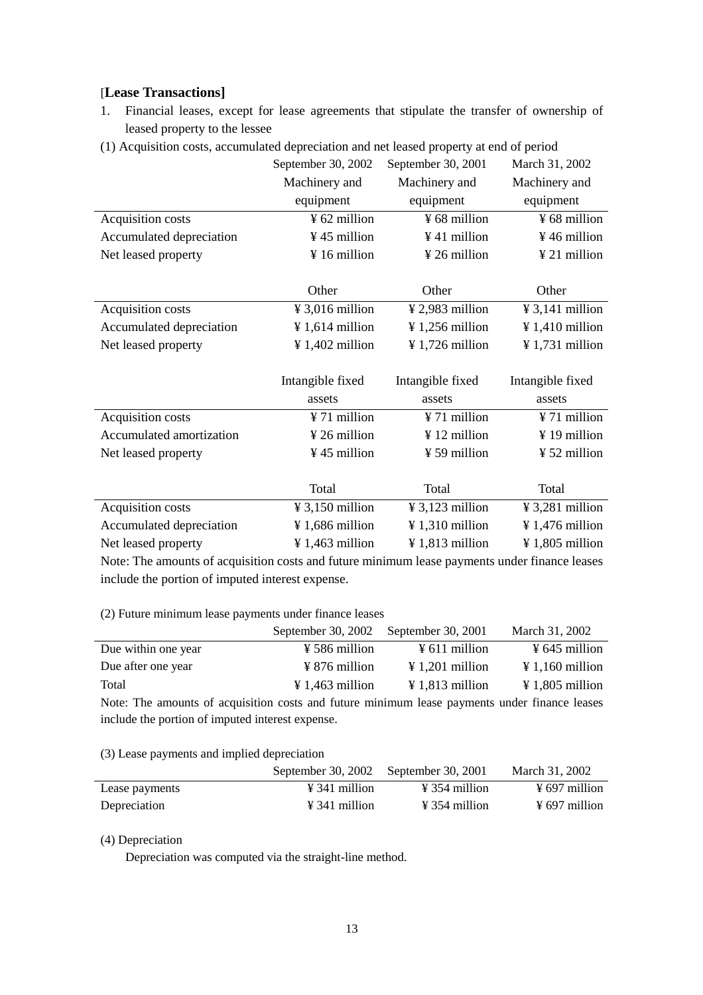#### [**Lease Transactions]**

- 1. Financial leases, except for lease agreements that stipulate the transfer of ownership of leased property to the lessee
- (1) Acquisition costs, accumulated depreciation and net leased property at end of period

|                                                                                               | September 30, 2002          | September 30, 2001          | March 31, 2002              |  |  |  |
|-----------------------------------------------------------------------------------------------|-----------------------------|-----------------------------|-----------------------------|--|--|--|
|                                                                                               | Machinery and               | Machinery and               | Machinery and               |  |  |  |
|                                                                                               | equipment                   | equipment                   | equipment                   |  |  |  |
| Acquisition costs                                                                             | ¥ 62 million                | ¥ 68 million                | ¥ 68 million                |  |  |  |
| Accumulated depreciation                                                                      | ¥45 million                 | ¥41 million                 | ¥46 million                 |  |  |  |
| Net leased property                                                                           | ¥16 million                 | ¥ 26 million                | $\frac{1}{2}$ 21 million    |  |  |  |
|                                                                                               |                             |                             |                             |  |  |  |
|                                                                                               | Other                       | Other                       | Other                       |  |  |  |
| Acquisition costs                                                                             | $\frac{1}{2}$ 3,016 million | $\frac{1}{2}$ ,983 million  | $\frac{1}{2}$ 3,141 million |  |  |  |
| Accumulated depreciation                                                                      | $\frac{1}{2}$ 1,614 million | $\frac{1}{256}$ million     | $\frac{1}{4}$ 1,410 million |  |  |  |
| Net leased property                                                                           | $\frac{1}{4}$ 1,402 million | $\frac{1}{2}$ 1,726 million | $\frac{1}{2}$ 1,731 million |  |  |  |
|                                                                                               |                             |                             |                             |  |  |  |
|                                                                                               | Intangible fixed            | Intangible fixed            | Intangible fixed            |  |  |  |
|                                                                                               | assets                      | assets                      | assets                      |  |  |  |
| Acquisition costs                                                                             | ¥ 71 million                | ¥ 71 million                | ¥ 71 million                |  |  |  |
| Accumulated amortization                                                                      | $\frac{1}{2}$ 26 million    | ¥ 12 million                | $\frac{1}{2}$ 19 million    |  |  |  |
| Net leased property                                                                           | ¥45 million                 | ¥ 59 million                | $\frac{1}{2}$ 52 million    |  |  |  |
|                                                                                               |                             |                             |                             |  |  |  |
|                                                                                               | Total                       | Total                       | Total                       |  |  |  |
| Acquisition costs                                                                             | $\frac{1}{2}$ 3,150 million | $\frac{1}{2}$ 3,123 million | $\frac{1}{2}$ 3,281 million |  |  |  |
| Accumulated depreciation                                                                      | $\frac{1}{2}$ 1,686 million | ¥ 1,310 million             | $\frac{1}{4}$ 1,476 million |  |  |  |
| Net leased property                                                                           | $\frac{1}{2}$ 1,463 million | $\frac{1}{2}$ 1,813 million | $\frac{1}{2}$ 1,805 million |  |  |  |
| Note: The amounts of acquisition costs and future minimum lease payments under finance leases |                             |                             |                             |  |  |  |

include the portion of imputed interest expense.

(2) Future minimum lease payments under finance leases

|                                                                                               | September 30, 2002          | September 30, 2001          | March 31, 2002              |
|-----------------------------------------------------------------------------------------------|-----------------------------|-----------------------------|-----------------------------|
| Due within one year                                                                           | $\frac{1}{2}$ 586 million   | $\frac{1}{2}$ 611 million   | $\frac{1}{2}$ 645 million   |
| Due after one year                                                                            | $\frac{1}{2}$ 876 million   | $\frac{1}{201}$ million     | $\frac{1}{2}$ 1,160 million |
| Total                                                                                         | $\frac{1}{2}$ 1,463 million | $\frac{1}{2}$ 1,813 million | $\frac{1}{2}$ 1,805 million |
| Note: The amounts of acquisition costs and future minimum lease payments under finance leases |                             |                             |                             |
| include the portion of imputed interest expense.                                              |                             |                             |                             |

(3) Lease payments and implied depreciation

|                | September 30, 2002 September 30, 2001 |                           | March 31, 2002            |
|----------------|---------------------------------------|---------------------------|---------------------------|
| Lease payments | $\angle 341$ million                  | $\angle 354$ million      | $\frac{1}{2}$ 697 million |
| Depreciation   | $\angle 341$ million                  | $\frac{1}{2}$ 354 million | $\frac{1}{2}$ 697 million |

#### (4) Depreciation

Depreciation was computed via the straight-line method.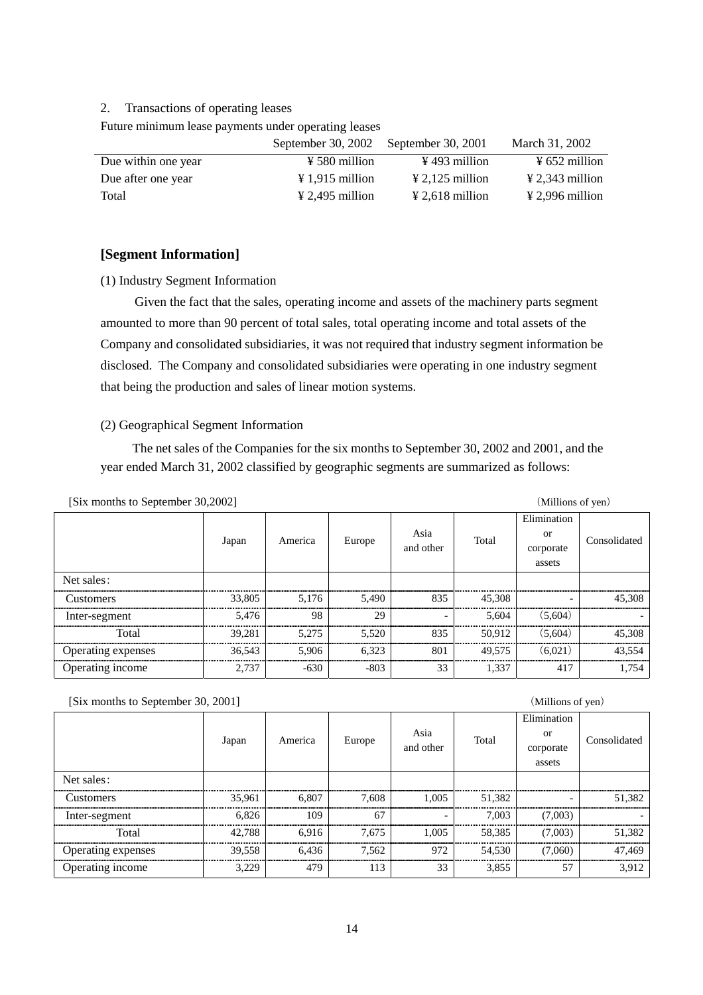#### 2. Transactions of operating leases

Future minimum lease payments under operating leases

|                     | September 30, 2002 September 30, 2001 |                             | March 31, 2002              |
|---------------------|---------------------------------------|-----------------------------|-----------------------------|
| Due within one year | $\frac{1}{2}$ 580 million             | $\frac{1}{2}$ 493 million   | $\frac{1}{2}$ 652 million   |
| Due after one year  | $\angle 1.915$ million                | $\angle 2.125$ million      | $\frac{1}{2}$ 2,343 million |
| Total               | $\angle 2.495$ million                | $\frac{1}{2}$ 2,618 million | $\frac{1}{2}$ 2,996 million |

#### **[Segment Information]**

#### (1) Industry Segment Information

 Given the fact that the sales, operating income and assets of the machinery parts segment amounted to more than 90 percent of total sales, total operating income and total assets of the Company and consolidated subsidiaries, it was not required that industry segment information be disclosed. The Company and consolidated subsidiaries were operating in one industry segment that being the production and sales of linear motion systems.

#### (2) Geographical Segment Information

The net sales of the Companies for the six months to September 30, 2002 and 2001, and the year ended March 31, 2002 classified by geographic segments are summarized as follows:

|                    | Japan  | America | Europe | Asia<br>and other | Total  | Elimination<br><b>or</b><br>corporate | Consolidated |
|--------------------|--------|---------|--------|-------------------|--------|---------------------------------------|--------------|
| Net sales:         |        |         |        |                   |        | assets                                |              |
|                    |        |         |        |                   |        |                                       |              |
| Customers          | 33,805 | 5.176   | 5,490  | 835               | 45,308 |                                       | 45,308       |
| Inter-segment      | 5,476  | 98      | 29     | -                 | 5,604  | (5,604)                               |              |
| Total              | 39,281 | 5.275   | 5,520  | 835               | 50.912 | (5.604)                               | 45,308       |
| Operating expenses | 36,543 | 5.906   | 6,323  | 801               | 49.575 | (6.021)                               | 43,554       |
| Operating income   | 2,737  | $-630$  | $-803$ | 33                | 1,337  | 417                                   | 1,754        |

[Six months to September 30, 2001] (Millions of yen)

|                    |        |         |           |                          |           | Elimination |              |
|--------------------|--------|---------|-----------|--------------------------|-----------|-------------|--------------|
|                    | Japan  | America | Europe    | Asia                     | Total     | or          | Consolidated |
|                    |        |         | and other |                          | corporate |             |              |
|                    |        |         |           |                          |           | assets      |              |
| Net sales:         |        |         |           |                          |           |             |              |
| <b>Customers</b>   | 35,961 | 6.807   | 7.608     | 1.005                    | 51,382    |             | 51,382       |
| Inter-segment      | 6.826  | 109     | 67        | $\overline{\phantom{0}}$ | 7.003     | (7,003)     |              |
| Total              | 42,788 | 6.916   | 7,675     | 1.005                    | 58,385    | (7,003)     | 51,382       |
| Operating expenses | 39,558 | 6,436   | 7.562     | 972                      | 54,530    | (7,060)     | 47,469       |
| Operating income   | 3,229  | 479     | 113       | 33                       | 3,855     | 57          | 3,912        |

(Millions of yen)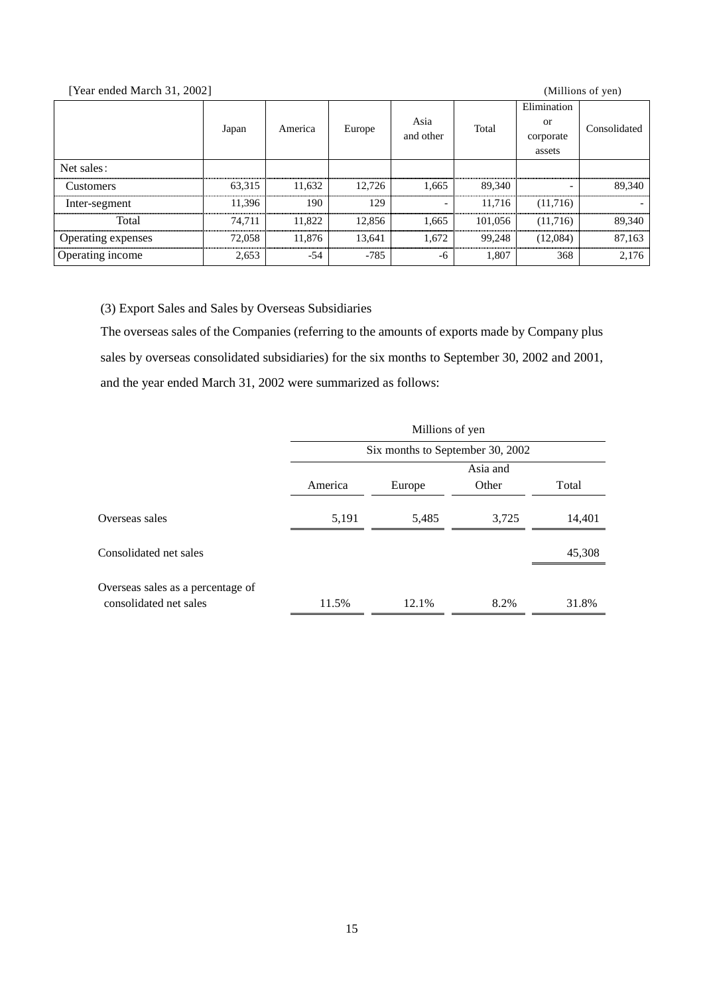#### [Year ended March 31, 2002] (Millions of yen)

|                    | Japan  | America | Europe | Asia<br>and other | Total   | Elimination<br>or<br>corporate<br>assets | Consolidated |
|--------------------|--------|---------|--------|-------------------|---------|------------------------------------------|--------------|
| Net sales:         |        |         |        |                   |         |                                          |              |
| Customers          | 63,315 | 11,632  | 12.726 | 1.665             | 89,340  |                                          | 89,340       |
| Inter-segment      | 11.396 | 190     | 129    |                   | 11.716  | (11,716)                                 |              |
| Total              | 74.711 | 11.822  | 12,856 | 1.665             | 101,056 | (11,716)                                 | 89,340       |
| Operating expenses | 72,058 | 11.876  | 13,641 | 1.672             | 99.248  | (12,084)                                 | 87,163       |
| Operating income   | 2,653  | $-54$   | $-785$ | -6                | 1,807   | 368                                      | 2,176        |

(3) Export Sales and Sales by Overseas Subsidiaries

The overseas sales of the Companies (referring to the amounts of exports made by Company plus sales by overseas consolidated subsidiaries) for the six months to September 30, 2002 and 2001, and the year ended March 31, 2002 were summarized as follows:

|                                                             | Millions of yen                  |        |          |        |  |  |
|-------------------------------------------------------------|----------------------------------|--------|----------|--------|--|--|
|                                                             | Six months to September 30, 2002 |        |          |        |  |  |
|                                                             |                                  |        | Asia and |        |  |  |
|                                                             | America                          | Europe | Other    | Total  |  |  |
| Overseas sales                                              | 5,191                            | 5,485  | 3,725    | 14,401 |  |  |
| Consolidated net sales                                      |                                  |        |          | 45,308 |  |  |
| Overseas sales as a percentage of<br>consolidated net sales | 11.5%                            | 12.1%  | 8.2%     | 31.8%  |  |  |
|                                                             |                                  |        |          |        |  |  |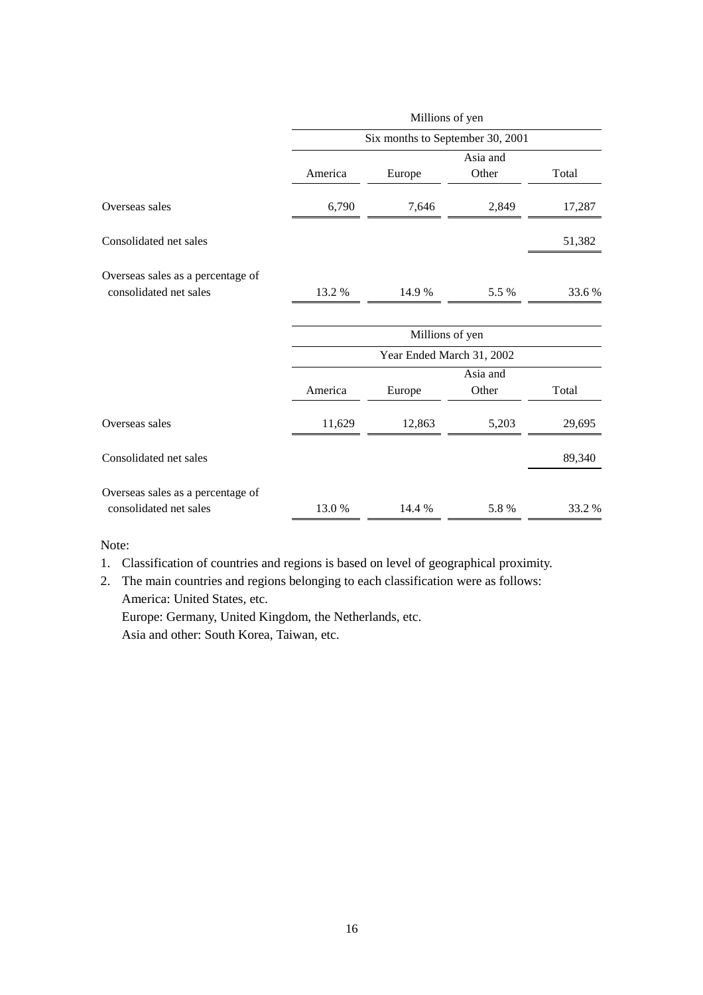|                                                             |         | Millions of yen                  |                   |        |  |  |  |
|-------------------------------------------------------------|---------|----------------------------------|-------------------|--------|--|--|--|
|                                                             |         | Six months to September 30, 2001 |                   |        |  |  |  |
|                                                             | America | Europe                           | Asia and<br>Other | Total  |  |  |  |
| Overseas sales                                              | 6,790   | 7,646                            | 2,849             | 17,287 |  |  |  |
| Consolidated net sales                                      |         |                                  |                   | 51,382 |  |  |  |
| Overseas sales as a percentage of<br>consolidated net sales | 13.2 %  | 14.9%                            | 5.5 %             | 33.6%  |  |  |  |
|                                                             |         | Millions of yen                  |                   |        |  |  |  |
|                                                             |         | Year Ended March 31, 2002        |                   |        |  |  |  |
|                                                             | America | Europe                           | Asia and<br>Other | Total  |  |  |  |
| Overseas sales                                              | 11,629  | 12,863                           | 5,203             | 29,695 |  |  |  |
| Consolidated net sales                                      |         |                                  |                   | 89,340 |  |  |  |
| Overseas sales as a percentage of                           |         |                                  |                   |        |  |  |  |
| consolidated net sales                                      | 13.0%   | 14.4 %                           | 5.8%              | 33.2%  |  |  |  |

Note:

1. Classification of countries and regions is based on level of geographical proximity.

2. The main countries and regions belonging to each classification were as follows: America: United States, etc. Europe: Germany, United Kingdom, the Netherlands, etc. Asia and other: South Korea, Taiwan, etc.

16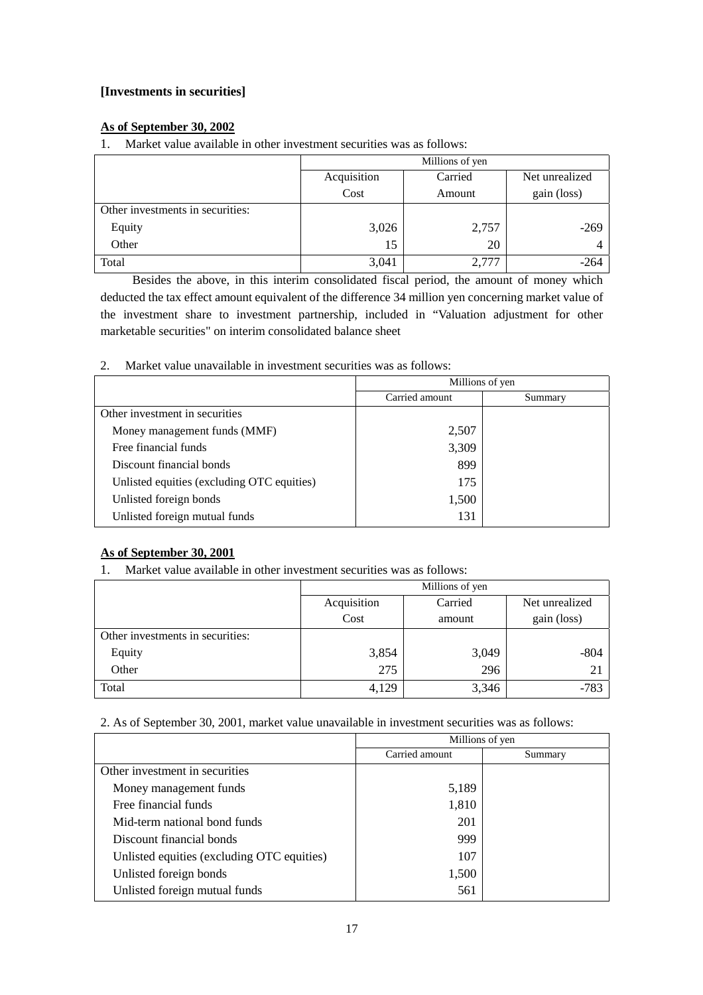#### **[Investments in securities]**

#### **As of September 30, 2002**

1. Market value available in other investment securities was as follows:

|                                  | Millions of yen |                           |             |
|----------------------------------|-----------------|---------------------------|-------------|
|                                  | Acquisition     | Carried<br>Net unrealized |             |
|                                  | Cost            | Amount                    | gain (loss) |
| Other investments in securities: |                 |                           |             |
| Equity                           | 3,026           | 2,757                     | $-269$      |
| Other                            | 15              | 20                        | 4           |
| Total                            | 3,041           | 2,777                     | -264        |

Besides the above, in this interim consolidated fiscal period, the amount of money which deducted the tax effect amount equivalent of the difference 34 million yen concerning market value of the investment share to investment partnership, included in "Valuation adjustment for other marketable securities" on interim consolidated balance sheet

2. Market value unavailable in investment securities was as follows:

|                                            | Millions of yen |         |
|--------------------------------------------|-----------------|---------|
|                                            | Carried amount  | Summary |
| Other investment in securities             |                 |         |
| Money management funds (MMF)               | 2,507           |         |
| Free financial funds                       | 3,309           |         |
| Discount financial bonds                   | 899             |         |
| Unlisted equities (excluding OTC equities) | 175             |         |
| Unlisted foreign bonds                     | 1,500           |         |
| Unlisted foreign mutual funds              | 131             |         |

#### **As of September 30, 2001**

1. Market value available in other investment securities was as follows:

|                                  | Millions of yen        |        |                |
|----------------------------------|------------------------|--------|----------------|
|                                  | Acquisition<br>Carried |        | Net unrealized |
|                                  | Cost                   | amount | gain (loss)    |
| Other investments in securities: |                        |        |                |
| Equity                           | 3,854                  | 3,049  | $-804$         |
| Other                            | 275                    | 296    | 2 <sub>1</sub> |
| Total                            | 4,129                  | 3,346  | $-783$         |

2. As of September 30, 2001, market value unavailable in investment securities was as follows:

|                                            | Millions of yen |         |  |
|--------------------------------------------|-----------------|---------|--|
|                                            | Carried amount  | Summary |  |
| Other investment in securities             |                 |         |  |
| Money management funds                     | 5,189           |         |  |
| Free financial funds                       | 1,810           |         |  |
| Mid-term national bond funds               | 201             |         |  |
| Discount financial bonds                   | 999             |         |  |
| Unlisted equities (excluding OTC equities) | 107             |         |  |
| Unlisted foreign bonds                     | 1,500           |         |  |
| Unlisted foreign mutual funds              | 561             |         |  |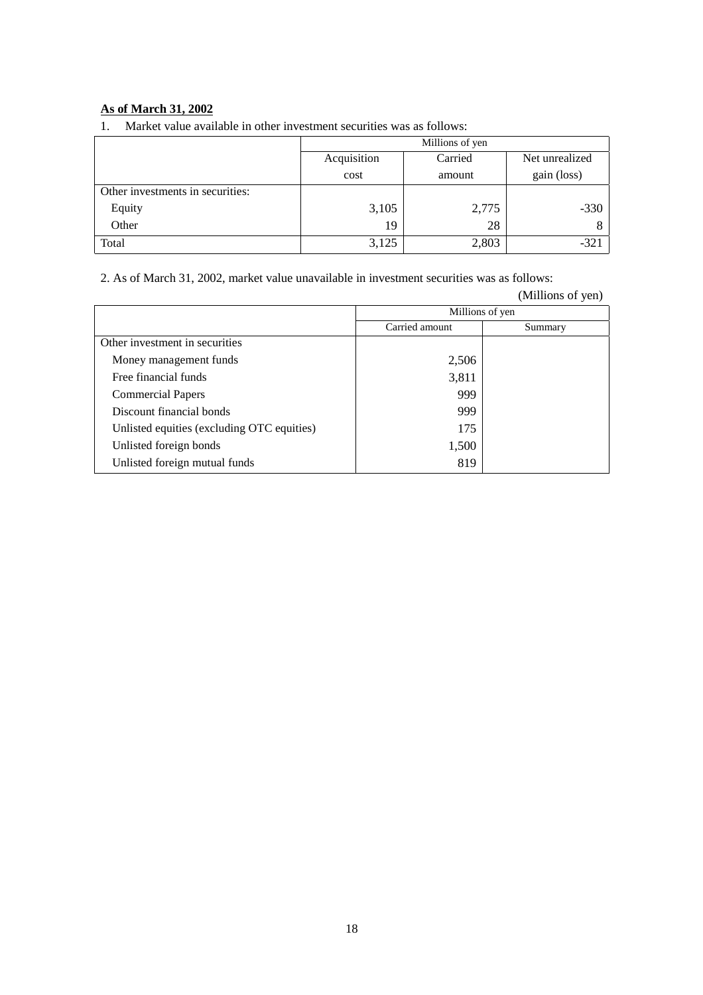#### **As of March 31, 2002**

1. Market value available in other investment securities was as follows:

|                                  | Millions of yen        |        |                |
|----------------------------------|------------------------|--------|----------------|
|                                  | Acquisition<br>Carried |        | Net unrealized |
|                                  | cost                   | amount | gain (loss)    |
| Other investments in securities: |                        |        |                |
| Equity                           | 3,105                  | 2,775  | $-330$         |
| Other                            | 19                     | 28     |                |
| Total                            | 3,125                  | 2,803  | $-321$         |

2. As of March 31, 2002, market value unavailable in investment securities was as follows:

|                                            |                 | (Millions of yen) |
|--------------------------------------------|-----------------|-------------------|
|                                            | Millions of yen |                   |
|                                            | Carried amount  | Summary           |
| Other investment in securities             |                 |                   |
| Money management funds                     | 2,506           |                   |
| Free financial funds                       | 3,811           |                   |
| <b>Commercial Papers</b>                   | 999             |                   |
| Discount financial bonds                   | 999             |                   |
| Unlisted equities (excluding OTC equities) | 175             |                   |
| Unlisted foreign bonds                     | 1,500           |                   |
| Unlisted foreign mutual funds              | 819             |                   |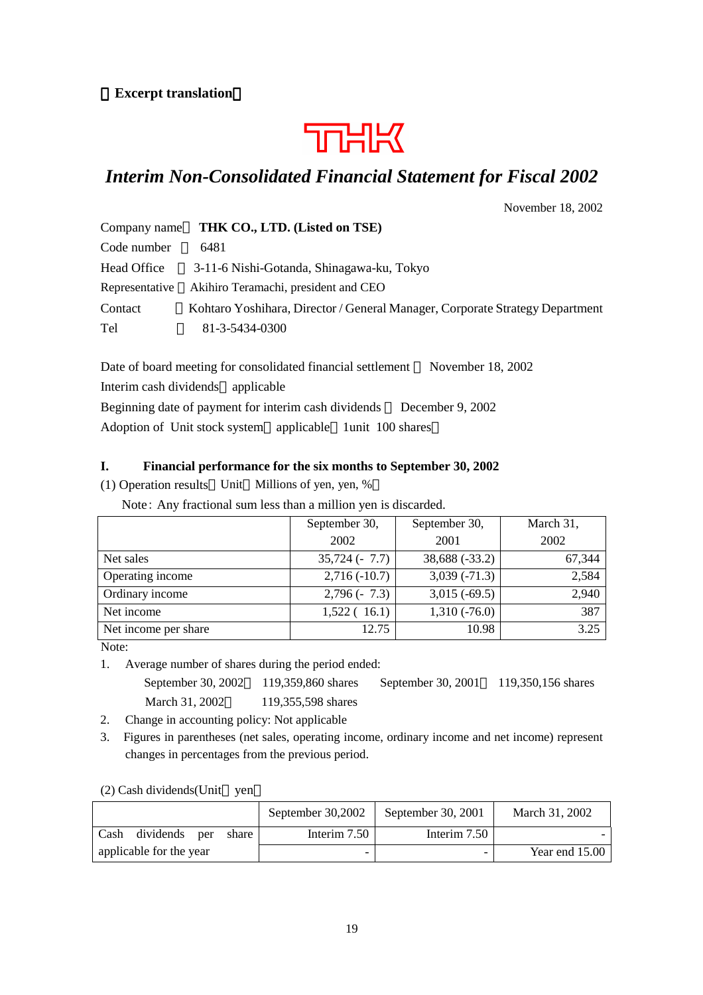#### **Excerpt translation**

# **THK**

# *Interim Non-Consolidated Financial Statement for Fiscal 2002*

November 18, 2002

| Company name   | THK CO., LTD. (Listed on TSE)                                                |
|----------------|------------------------------------------------------------------------------|
| Code number    | 6481                                                                         |
| Head Office    | 3-11-6 Nishi-Gotanda, Shinagawa-ku, Tokyo                                    |
| Representative | Akihiro Teramachi, president and CEO                                         |
| Contact        | Kohtaro Yoshihara, Director / General Manager, Corporate Strategy Department |
| Tel            | 81-3-5434-0300                                                               |

Date of board meeting for consolidated financial settlement November 18, 2002 Interim cash dividends applicable Beginning date of payment for interim cash dividends December 9, 2002 Adoption of Unit stock system applicable 1unit 100 shares

#### **I. Financial performance for the six months to September 30, 2002**

(1) Operation results Unit Millions of yen, yen, %

Note: Any fractional sum less than a million yen is discarded.

|                      | September 30,  | September 30,  | March 31, |
|----------------------|----------------|----------------|-----------|
|                      | 2002           | 2001           | 2002      |
| Net sales            | $35,724(-7.7)$ | 38,688 (-33.2) | 67,344    |
| Operating income     | $2,716(-10.7)$ | $3,039(-71.3)$ | 2,584     |
| Ordinary income      | $2,796(-7.3)$  | $3,015(-69.5)$ | 2,940     |
| Net income           | 1,522(16.1)    | $1,310(-76.0)$ | 387       |
| Net income per share | 12.75          | 10.98          | 3.25      |

Note:

1. Average number of shares during the period ended:

September 30, 2002 119,359,860 shares September 30, 2001 119,350,156 shares March 31, 2002 119,355,598 shares

2. Change in accounting policy: Not applicable

3. Figures in parentheses (net sales, operating income, ordinary income and net income) represent changes in percentages from the previous period.

#### (2) Cash dividends(Unit yen

|      |                         |       | September 30,2002 | September 30, 2001 | March 31, 2002   |
|------|-------------------------|-------|-------------------|--------------------|------------------|
| Cash | dividends per           | share | Interim $7.50$    | Interim $7.50$     |                  |
|      | applicable for the year |       |                   |                    | Year end $15.00$ |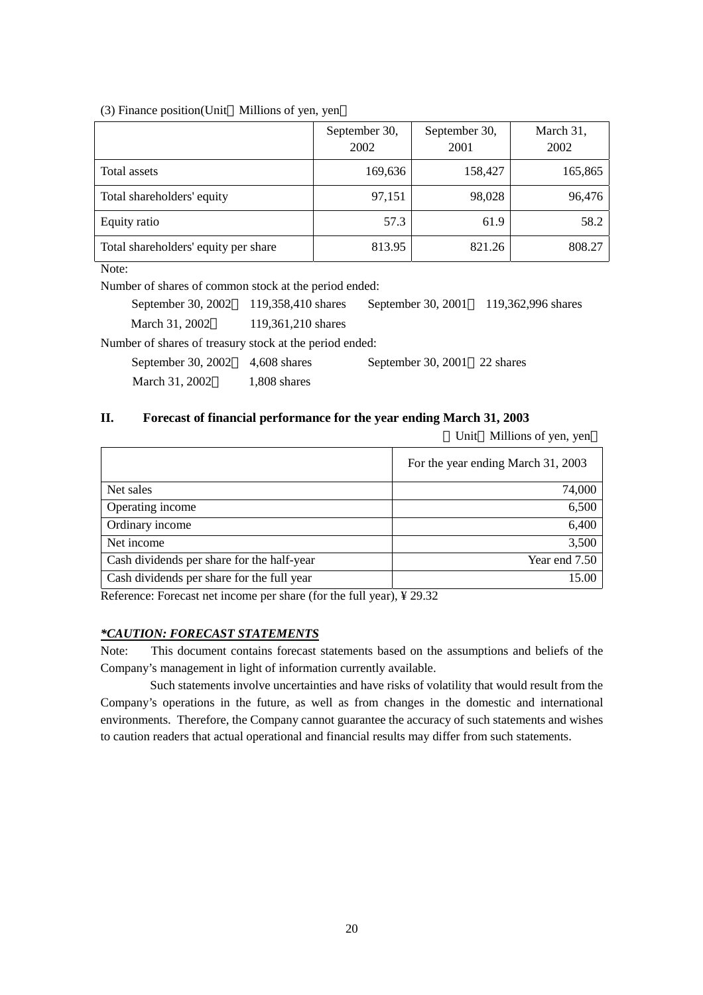#### (3) Finance position(Unit Millions of yen, yen

|                                      | September 30,<br>2002 | September 30,<br>2001 | March 31,<br>2002 |
|--------------------------------------|-----------------------|-----------------------|-------------------|
| Total assets                         | 169,636               | 158,427               | 165,865           |
| Total shareholders' equity           | 97,151                | 98,028                | 96,476            |
| Equity ratio                         | 57.3                  | 61.9                  | 58.2              |
| Total shareholders' equity per share | 813.95                | 821.26                | 808.27            |

Note:

Number of shares of common stock at the period ended:

September 30, 2002 119,358,410 shares September 30, 2001 119,362,996 shares March 31, 2002 119,361,210 shares Number of shares of treasury stock at the period ended:

| September 30, 2002 | 4,608 shares | September 30, 2001 $22$ shares |  |
|--------------------|--------------|--------------------------------|--|
| March 31, 2002     | 1,808 shares |                                |  |

#### **II. Forecast of financial performance for the year ending March 31, 2003**

Unit Millions of yen, yen

|                                            | For the year ending March 31, 2003 |
|--------------------------------------------|------------------------------------|
| Net sales                                  | 74,000                             |
| Operating income                           | 6,500                              |
| Ordinary income                            | 6,400                              |
| Net income                                 | 3,500                              |
| Cash dividends per share for the half-year | Year end 7.50                      |
| Cash dividends per share for the full year | 15.00                              |

Reference: Forecast net income per share (for the full year), ¥ 29.32

#### *\*CAUTION: FORECAST STATEMENTS*

Note: This document contains forecast statements based on the assumptions and beliefs of the Company's management in light of information currently available.

Such statements involve uncertainties and have risks of volatility that would result from the Company's operations in the future, as well as from changes in the domestic and international environments. Therefore, the Company cannot guarantee the accuracy of such statements and wishes to caution readers that actual operational and financial results may differ from such statements.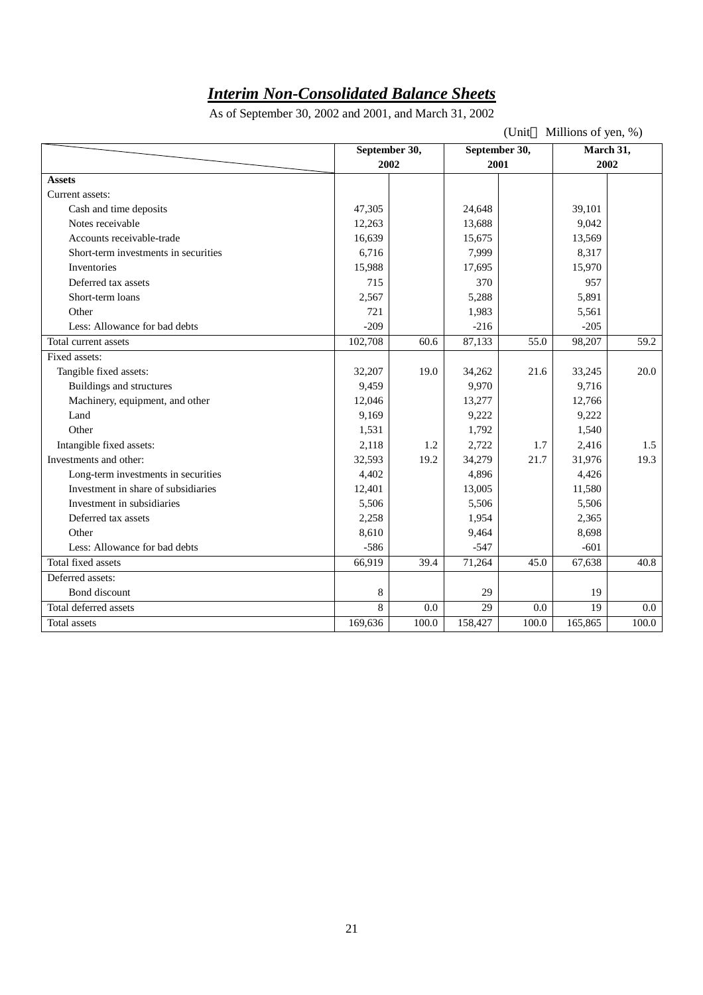# *Interim Non-Consolidated Balance Sheets*

As of September 30, 2002 and 2001, and March 31, 2002

(Unit Millions of yen, %)

|                                      | September 30, |       | September 30,   |       | March 31, |         |
|--------------------------------------|---------------|-------|-----------------|-------|-----------|---------|
|                                      | 2002          |       | 2001            |       | 2002      |         |
| <b>Assets</b>                        |               |       |                 |       |           |         |
| Current assets:                      |               |       |                 |       |           |         |
| Cash and time deposits               | 47,305        |       | 24,648          |       | 39,101    |         |
| Notes receivable                     | 12,263        |       | 13,688          |       | 9,042     |         |
| Accounts receivable-trade            | 16,639        |       | 15,675          |       | 13,569    |         |
| Short-term investments in securities | 6,716         |       | 7,999           |       | 8,317     |         |
| Inventories                          | 15,988        |       | 17,695          |       | 15,970    |         |
| Deferred tax assets                  | 715           |       | 370             |       | 957       |         |
| Short-term loans                     | 2,567         |       | 5,288           |       | 5,891     |         |
| Other                                | 721           |       | 1,983           |       | 5,561     |         |
| Less: Allowance for bad debts        | $-209$        |       | $-216$          |       | $-205$    |         |
| Total current assets                 | 102,708       | 60.6  | 87,133          | 55.0  | 98,207    | 59.2    |
| Fixed assets:                        |               |       |                 |       |           |         |
| Tangible fixed assets:               | 32,207        | 19.0  | 34,262          | 21.6  | 33,245    | 20.0    |
| Buildings and structures             | 9,459         |       | 9,970           |       | 9,716     |         |
| Machinery, equipment, and other      | 12,046        |       | 13,277          |       | 12,766    |         |
| Land                                 | 9,169         |       | 9,222           |       | 9,222     |         |
| Other                                | 1,531         |       | 1,792           |       | 1,540     |         |
| Intangible fixed assets:             | 2,118         | 1.2   | 2,722           | 1.7   | 2,416     | 1.5     |
| Investments and other:               | 32,593        | 19.2  | 34,279          | 21.7  | 31,976    | 19.3    |
| Long-term investments in securities  | 4,402         |       | 4,896           |       | 4,426     |         |
| Investment in share of subsidiaries  | 12,401        |       | 13,005          |       | 11,580    |         |
| Investment in subsidiaries           | 5,506         |       | 5,506           |       | 5,506     |         |
| Deferred tax assets                  | 2,258         |       | 1,954           |       | 2,365     |         |
| Other                                | 8,610         |       | 9,464           |       | 8,698     |         |
| Less: Allowance for bad debts        | $-586$        |       | $-547$          |       | $-601$    |         |
| Total fixed assets                   | 66,919        | 39.4  | 71,264          | 45.0  | 67,638    | 40.8    |
| Deferred assets:                     |               |       |                 |       |           |         |
| Bond discount                        | $\,$ 8 $\,$   |       | 29              |       | 19        |         |
| Total deferred assets                | 8             | 0.0   | $\overline{29}$ | 0.0   | 19        | $0.0\,$ |
| Total assets                         | 169,636       | 100.0 | 158,427         | 100.0 | 165,865   | 100.0   |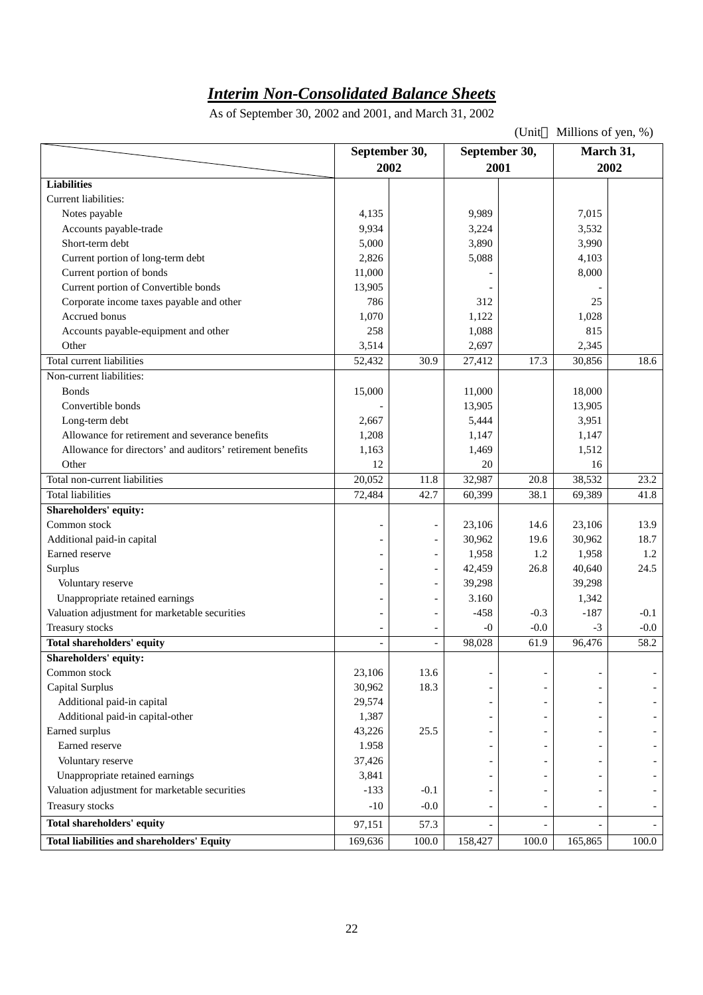## *Interim Non-Consolidated Balance Sheets*

As of September 30, 2002 and 2001, and March 31, 2002

(Unit Millions of yen, %) **September 30, 2002 September 30, 2001 March 31, 2002 Liabilities** Current liabilities: Notes payable 2,015 7,015 Accounts payable-trade  $9,934$   $3,532$  3,532 Short-term debt 3,990 3,990 3,990 3,990 3,990 3,990 3,990 3,990 3,990 3,990 3,990 3,990 3,990 3,990 3,990 3,990 3,990 3,990 3,990 3,990 3,990 3,990 3,990 3,990 3,990 3,990 3,990 3,990 3,990 3,990 3,990 3,990 3,990 3,990 3, Current portion of long-term debt  $2,826$   $5,088$  4,103 Current portion of bonds  $\begin{vmatrix} 11,000 \\ 11,000 \end{vmatrix}$  - 8,000 Current portion of Convertible bonds 13,905 Corporate income taxes payable and other 786 786 312 Accrued bonus  $1,070$  1,  $1,122$  1,  $1,122$  1,  $0.28$ Accounts payable-equipment and other 1,088 15 Other 2,345 2,345 Total current liabilities 52,432 30.9 27,412 17.3 30,856 18.6 Non-current liabilities: Bonds 15,000 11,000 13,000 15,000 11,000 18,000 Convertible bonds 13,905 13,905 Long-term debt 2,667 5,444 3,951 Allowance for retirement and severance benefits  $1,208$  1,208 1,147 1,147 1,147 Allowance for directors' and auditors' retirement benefits 1,163 1,469 1,512 Other 12 20 16 Total non-current liabilities 20,052 11.8 32,987 20.8 38,532 23.2 Total liabilities 1.1.8 (1.1.8 and 1.8 and 1.8 and 1.8 and 1.8 and 1.8 and 1.8 and 1.8 and 1.8 and 1.8 and 1.8 **Shareholders' equity:** Common stock 13.9 Additional paid-in capital 18.7 (18.7 and 20.962 19.6 18.7 and 20.962 19.6 18.7 and 20.962 19.6 18.7 Earned reserve - - 1,958 1.2 1,958 1.2 Surplus 24.5 Voluntary reserve 4 1 200 and 200 and 200 and 39,298 39,298 39,298 Unappropriate retained earnings - - 3.160 1,342 Valuation adjustment for marketable securities  $-458$   $-0.3$   $-187$   $-0.1$ Treasury stocks  $-0$  -0.0  $-3$  -0.0  $-3$  -0.0 **Total shareholders' equity**  $\qquad \qquad - \qquad - \qquad \qquad - \qquad \qquad - \qquad \qquad 98,028 \qquad \qquad 61.9 \qquad \qquad 96,476 \qquad \qquad 58.2$ **Shareholders' equity:** Common stock 23,106 13.6 Capital Surplus 30,962 18.3 - - - - Additional paid-in capital 29,574 - - - - Additional paid-in capital-other  $\begin{vmatrix} 1,387 & - & - & - \end{vmatrix}$  -  $\begin{vmatrix} 1,387 & - & - \end{vmatrix}$ Earned surplus  $\begin{vmatrix} 43,226 & 25.5 & - \end{vmatrix}$  -  $\begin{vmatrix} -1 & -1 & - \end{vmatrix}$ Earned reserve 1.958 - - - - Voluntary reserve  $\begin{vmatrix} 37,426 \end{vmatrix}$   $\begin{vmatrix} -1 & -1 \end{vmatrix}$  -Unappropriate retained earnings 3,841 - - - - Valuation adjustment for marketable securities  $\begin{vmatrix} -133 & -0.1 & -1 \end{vmatrix}$  -1 - -Treasury stocks  $\begin{vmatrix} 10 & -10 & -0.0 & -1 \end{vmatrix}$  -  $\begin{vmatrix} -1 & -1 & -1 \end{vmatrix}$  -**Total shareholders' equity** 97,151 57.3 - - - - **Total liabilities and shareholders' Equity** 169,636 100.0 158,427 100.0 165,865 100.0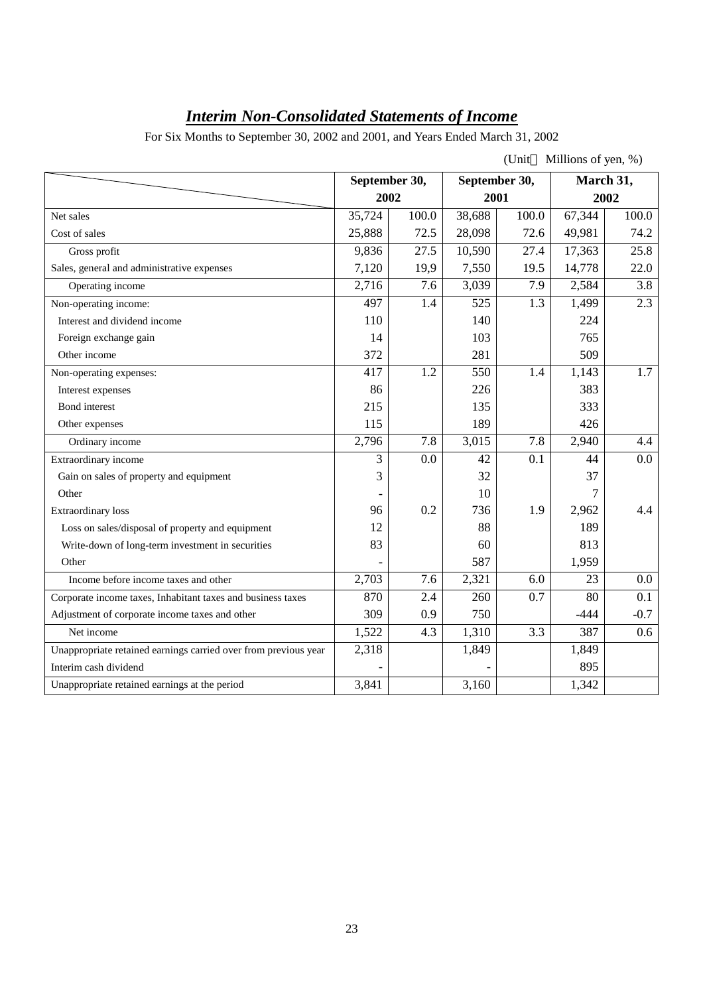# *Interim Non-Consolidated Statements of Income*

For Six Months to September 30, 2002 and 2001, and Years Ended March 31, 2002

| (Unit) | Millions of yen, %) |
|--------|---------------------|
|        |                     |

|                                                                 |        | September 30, |        | September 30, | March 31, |        |
|-----------------------------------------------------------------|--------|---------------|--------|---------------|-----------|--------|
|                                                                 | 2002   |               |        | 2001          |           | 2002   |
| Net sales                                                       | 35,724 | 100.0         | 38,688 | 100.0         | 67,344    | 100.0  |
| Cost of sales                                                   | 25,888 | 72.5          | 28,098 | 72.6          | 49,981    | 74.2   |
| Gross profit                                                    | 9,836  | 27.5          | 10,590 | 27.4          | 17,363    | 25.8   |
| Sales, general and administrative expenses                      | 7,120  | 19,9          | 7,550  | 19.5          | 14,778    | 22.0   |
| Operating income                                                | 2,716  | 7.6           | 3,039  | 7.9           | 2,584     | 3.8    |
| Non-operating income:                                           | 497    | 1.4           | 525    | 1.3           | 1,499     | 2.3    |
| Interest and dividend income                                    | 110    |               | 140    |               | 224       |        |
| Foreign exchange gain                                           | 14     |               | 103    |               | 765       |        |
| Other income                                                    | 372    |               | 281    |               | 509       |        |
| Non-operating expenses:                                         | 417    | 1.2           | 550    | 1.4           | 1,143     | 1.7    |
| Interest expenses                                               | 86     |               | 226    |               | 383       |        |
| Bond interest                                                   | 215    |               | 135    |               | 333       |        |
| Other expenses                                                  | 115    |               | 189    |               | 426       |        |
| Ordinary income                                                 | 2,796  | 7.8           | 3,015  | 7.8           | 2,940     | 4.4    |
| Extraordinary income                                            | 3      | 0.0           | 42     | 0.1           | 44        | 0.0    |
| Gain on sales of property and equipment                         | 3      |               | 32     |               | 37        |        |
| Other                                                           |        |               | 10     |               | 7         |        |
| <b>Extraordinary</b> loss                                       | 96     | 0.2           | 736    | 1.9           | 2,962     | 4.4    |
| Loss on sales/disposal of property and equipment                | 12     |               | 88     |               | 189       |        |
| Write-down of long-term investment in securities                | 83     |               | 60     |               | 813       |        |
| Other                                                           |        |               | 587    |               | 1,959     |        |
| Income before income taxes and other                            | 2,703  | 7.6           | 2,321  | 6.0           | 23        | 0.0    |
| Corporate income taxes, Inhabitant taxes and business taxes     | 870    | 2.4           | 260    | 0.7           | 80        | 0.1    |
| Adjustment of corporate income taxes and other                  | 309    | 0.9           | 750    |               | $-444$    | $-0.7$ |
| Net income                                                      | 1,522  | 4.3           | 1,310  | 3.3           | 387       | 0.6    |
| Unappropriate retained earnings carried over from previous year | 2,318  |               | 1,849  |               | 1,849     |        |
| Interim cash dividend                                           |        |               |        |               | 895       |        |
| Unappropriate retained earnings at the period                   | 3,841  |               | 3,160  |               | 1,342     |        |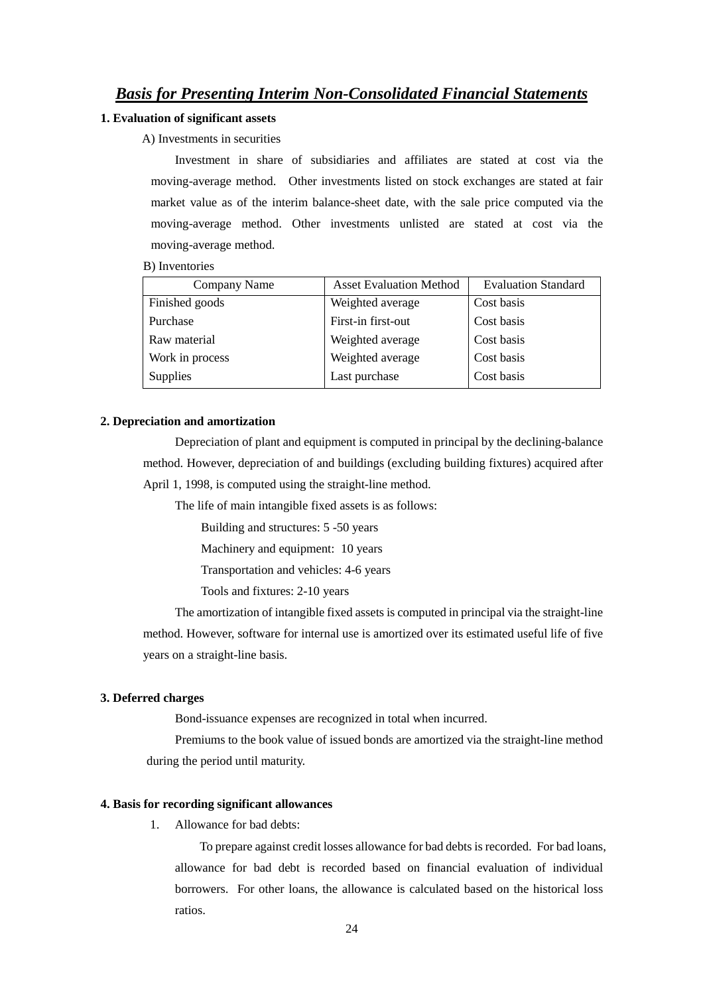#### *Basis for Presenting Interim Non-Consolidated Financial Statements*

#### **1. Evaluation of significant assets**

#### A) Investments in securities

Investment in share of subsidiaries and affiliates are stated at cost via the moving-average method. Other investments listed on stock exchanges are stated at fair market value as of the interim balance-sheet date, with the sale price computed via the moving-average method. Other investments unlisted are stated at cost via the moving-average method.

#### B) Inventories

| Company Name    | <b>Asset Evaluation Method</b> | <b>Evaluation Standard</b> |
|-----------------|--------------------------------|----------------------------|
| Finished goods  | Weighted average               | Cost basis                 |
| Purchase        | First-in first-out             | Cost basis                 |
| Raw material    | Weighted average               | Cost basis                 |
| Work in process | Weighted average               | Cost basis                 |
| <b>Supplies</b> | Last purchase                  | Cost basis                 |

#### **2. Depreciation and amortization**

Depreciation of plant and equipment is computed in principal by the declining-balance method. However, depreciation of and buildings (excluding building fixtures) acquired after April 1, 1998, is computed using the straight-line method.

The life of main intangible fixed assets is as follows:

Building and structures: 5 -50 years

Machinery and equipment: 10 years

Transportation and vehicles: 4-6 years

Tools and fixtures: 2-10 years

The amortization of intangible fixed assets is computed in principal via the straight-line method. However, software for internal use is amortized over its estimated useful life of five years on a straight-line basis.

#### **3. Deferred charges**

Bond-issuance expenses are recognized in total when incurred.

Premiums to the book value of issued bonds are amortized via the straight-line method during the period until maturity.

#### **4. Basis for recording significant allowances**

1. Allowance for bad debts:

To prepare against credit losses allowance for bad debts is recorded. For bad loans, allowance for bad debt is recorded based on financial evaluation of individual borrowers. For other loans, the allowance is calculated based on the historical loss ratios.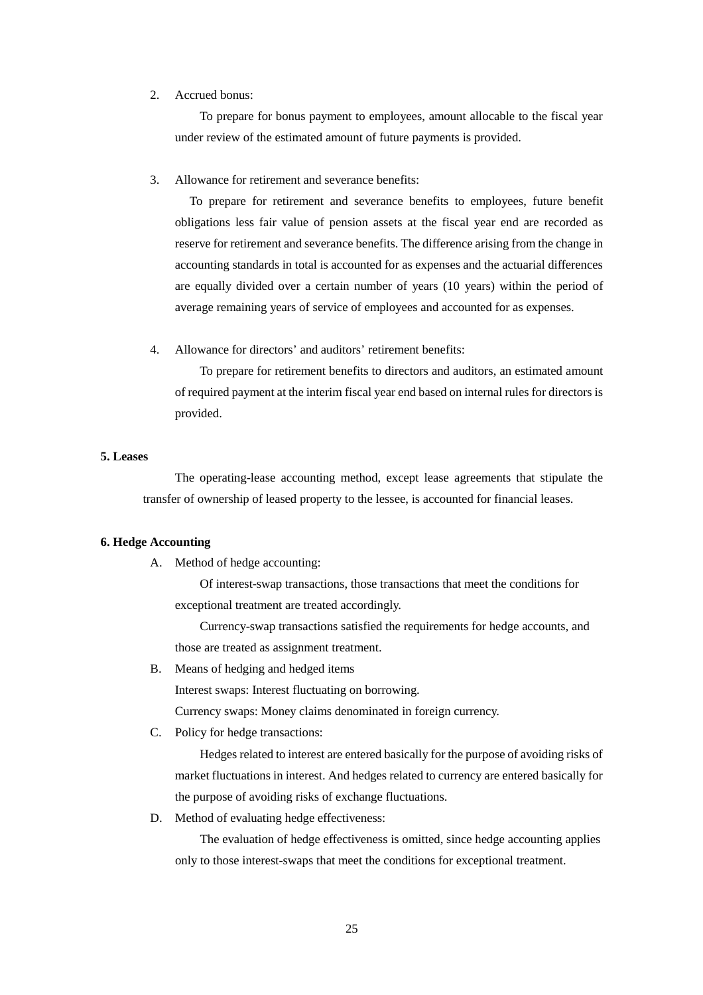#### 2. Accrued bonus:

To prepare for bonus payment to employees, amount allocable to the fiscal year under review of the estimated amount of future payments is provided.

3. Allowance for retirement and severance benefits:

To prepare for retirement and severance benefits to employees, future benefit obligations less fair value of pension assets at the fiscal year end are recorded as reserve for retirement and severance benefits. The difference arising from the change in accounting standards in total is accounted for as expenses and the actuarial differences are equally divided over a certain number of years (10 years) within the period of average remaining years of service of employees and accounted for as expenses.

4. Allowance for directors' and auditors' retirement benefits:

To prepare for retirement benefits to directors and auditors, an estimated amount of required payment at the interim fiscal year end based on internal rules for directors is provided.

#### **5. Leases**

The operating-lease accounting method, except lease agreements that stipulate the transfer of ownership of leased property to the lessee, is accounted for financial leases.

#### **6. Hedge Accounting**

A. Method of hedge accounting:

Of interest-swap transactions, those transactions that meet the conditions for exceptional treatment are treated accordingly.

Currency-swap transactions satisfied the requirements for hedge accounts, and those are treated as assignment treatment.

B. Means of hedging and hedged items

Interest swaps: Interest fluctuating on borrowing.

Currency swaps: Money claims denominated in foreign currency.

C. Policy for hedge transactions:

Hedges related to interest are entered basically for the purpose of avoiding risks of market fluctuations in interest. And hedges related to currency are entered basically for the purpose of avoiding risks of exchange fluctuations.

D. Method of evaluating hedge effectiveness:

The evaluation of hedge effectiveness is omitted, since hedge accounting applies only to those interest-swaps that meet the conditions for exceptional treatment.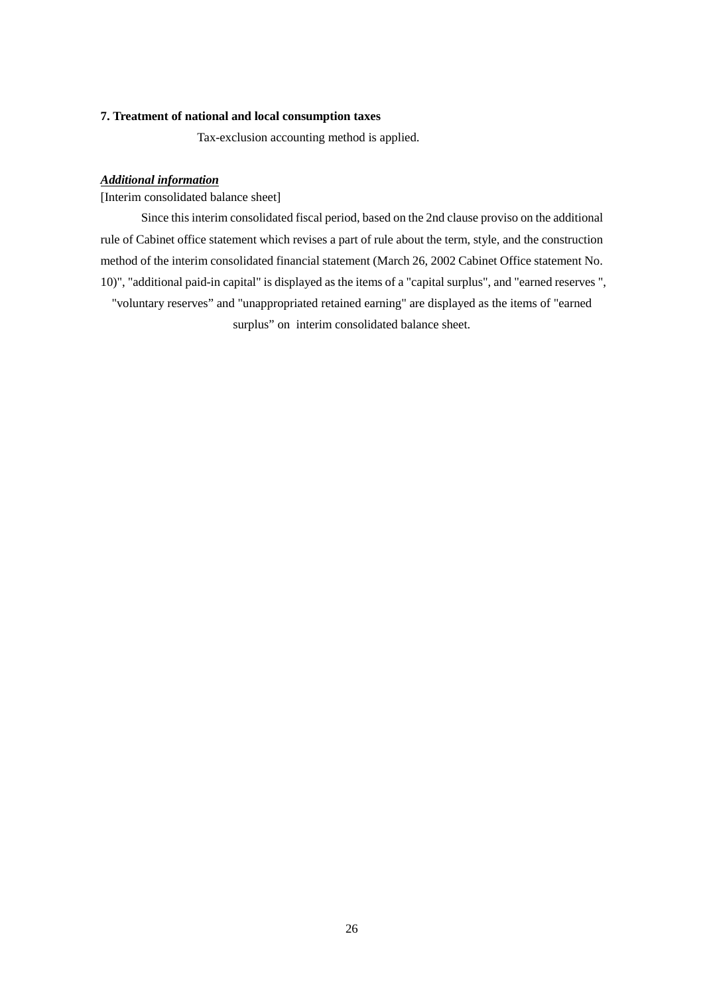#### **7. Treatment of national and local consumption taxes**

Tax-exclusion accounting method is applied.

#### *Additional information*

[Interim consolidated balance sheet]

Since this interim consolidated fiscal period, based on the 2nd clause proviso on the additional rule of Cabinet office statement which revises a part of rule about the term, style, and the construction method of the interim consolidated financial statement (March 26, 2002 Cabinet Office statement No. 10)", "additional paid-in capital" is displayed as the items of a "capital surplus", and "earned reserves ", "voluntary reserves" and "unappropriated retained earning" are displayed as the items of "earned surplus" on interim consolidated balance sheet.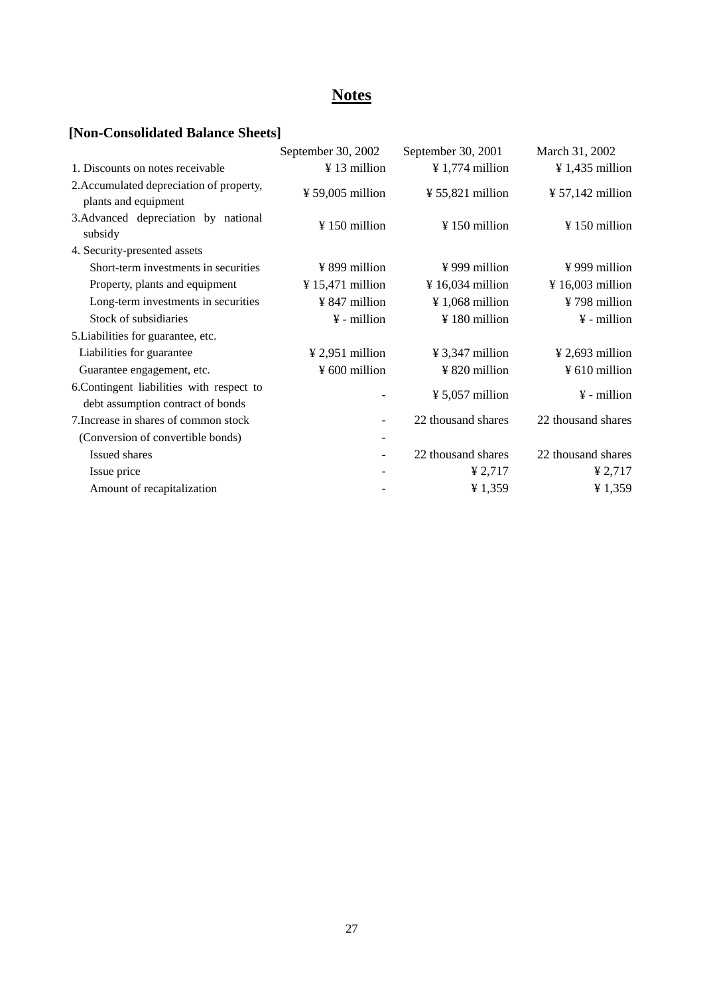# **Notes**

# **[Non-Consolidated Balance Sheets]**

|                                                                                | September 30, 2002           | September 30, 2001           | March 31, 2002               |
|--------------------------------------------------------------------------------|------------------------------|------------------------------|------------------------------|
| 1. Discounts on notes receivable                                               | ¥ 13 million                 | $\frac{1}{2}$ 1,774 million  | $\frac{1}{4}$ 1,435 million  |
| 2. Accumulated depreciation of property,<br>plants and equipment               | $\frac{1}{2}$ 59,005 million | $\frac{1}{2}$ 55,821 million | $\frac{1}{2}$ 57,142 million |
| 3. Advanced depreciation by national<br>subsidy                                | $\frac{150}{150}$ million    | $\frac{1}{2}$ 150 million    | $\frac{1}{2}$ 150 million    |
| 4. Security-presented assets                                                   |                              |                              |                              |
| Short-term investments in securities                                           | $\frac{1}{2}$ 899 million    | $\frac{1}{2}$ 999 million    | $\frac{1}{2}$ 999 million    |
| Property, plants and equipment                                                 | $\frac{1}{2}$ 15,471 million | $\frac{1}{2}$ 16,034 million | $\frac{1}{2}$ 16,003 million |
| Long-term investments in securities                                            | ¥ 847 million                | $\frac{1}{2}$ 1,068 million  | ¥798 million                 |
| Stock of subsidiaries                                                          | $\frac{1}{2}$ - million      | $\frac{120}{180}$ million    | $\frac{1}{2}$ - million      |
| 5. Liabilities for guarantee, etc.                                             |                              |                              |                              |
| Liabilities for guarantee                                                      | $\frac{1}{2}$ 2,951 million  | $\frac{1}{2}$ 3,347 million  | $\frac{1}{2}$ 2,693 million  |
| Guarantee engagement, etc.                                                     | $\frac{1}{2}$ 600 million    | ¥ 820 million                | $\frac{1}{2}$ 610 million    |
| 6. Contingent liabilities with respect to<br>debt assumption contract of bonds |                              | $\frac{1}{2}$ 5,057 million  | $\frac{1}{2}$ - million      |
| 7. Increase in shares of common stock                                          |                              | 22 thousand shares           | 22 thousand shares           |
| (Conversion of convertible bonds)                                              |                              |                              |                              |
| Issued shares                                                                  |                              | 22 thousand shares           | 22 thousand shares           |
| Issue price                                                                    |                              | ¥ $2,717$                    | ¥ $2,717$                    |
| Amount of recapitalization                                                     |                              | ¥1,359                       | ¥1,359                       |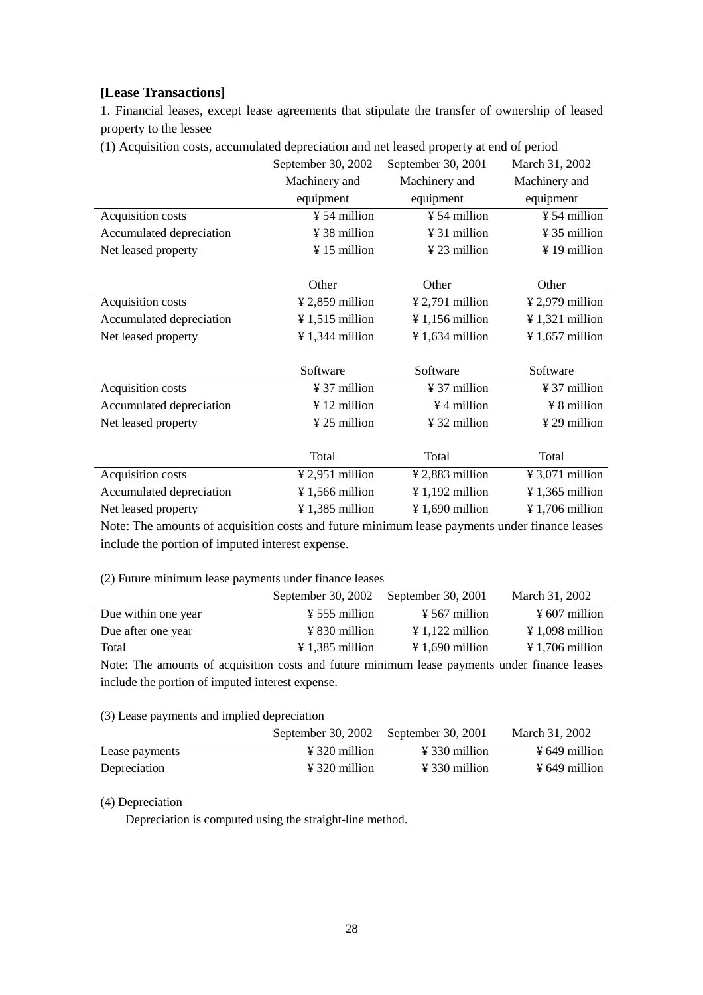#### **[Lease Transactions]**

1. Financial leases, except lease agreements that stipulate the transfer of ownership of leased property to the lessee

(1) Acquisition costs, accumulated depreciation and net leased property at end of period

|                          | September 30, 2002            | September 30, 2001          | March 31, 2002              |
|--------------------------|-------------------------------|-----------------------------|-----------------------------|
|                          | Machinery and                 | Machinery and               | Machinery and               |
|                          | equipment                     | equipment                   | equipment                   |
| Acquisition costs        | ¥ 54 million                  | ¥ 54 million                | $\frac{1}{2}$ 54 million    |
| Accumulated depreciation | ¥ 38 million                  | $\frac{1}{2}$ 31 million    | ¥ 35 million                |
| Net leased property      | ¥15 million                   | ¥ 23 million                | $\frac{1}{2}$ 19 million    |
|                          |                               |                             |                             |
|                          | Other                         | Other                       | Other                       |
| Acquisition costs        | $\frac{1}{2}$ , 2,859 million | $\frac{1}{2}$ ,791 million  | $\frac{1}{2}$ 2,979 million |
| Accumulated depreciation | $\frac{1}{2}$ 1,515 million   | $\frac{1}{2}$ 1,156 million | $\frac{1}{321}$ million     |
| Net leased property      | $\frac{1}{3}$ 1,344 million   | $\frac{1}{2}$ 1,634 million | $\frac{1}{2}$ 1,657 million |
|                          |                               |                             |                             |
|                          | Software                      | Software                    | Software                    |
| Acquisition costs        | $\frac{1}{2}$ 37 million      | $\frac{1}{2}$ 37 million    | $\frac{1}{2}$ 37 million    |
| Accumulated depreciation | $\frac{1}{2}$ 12 million      | $\frac{1}{2}$ 4 million     | $\frac{1}{2}$ 8 million     |
| Net leased property      | ¥ 25 million                  | $\frac{1}{2}$ 32 million    | $\frac{1}{2}$ 29 million    |
|                          |                               |                             |                             |
|                          | Total                         | Total                       | Total                       |
| Acquisition costs        | $\frac{1}{2}$ 2,951 million   | $¥$ 2,883 million           | $\frac{1}{2}$ 3,071 million |
| Accumulated depreciation | $\frac{1}{2}$ 1,566 million   | $\frac{1}{2}$ 1,192 million | $\frac{1}{365}$ million     |
| Net leased property      | $\frac{1}{385}$ million       | $\frac{1}{2}$ 1,690 million | $\frac{1}{2}$ 1,706 million |

Note: The amounts of acquisition costs and future minimum lease payments under finance leases include the portion of imputed interest expense.

#### (2) Future minimum lease payments under finance leases

|                                                                                               | September 30, 2002          | September 30, 2001          | March 31, 2002              |
|-----------------------------------------------------------------------------------------------|-----------------------------|-----------------------------|-----------------------------|
| Due within one year                                                                           | $\frac{1}{2}$ 555 million   | $\frac{1}{2}$ 567 million   | $\frac{1}{2}$ 607 million   |
| Due after one year                                                                            | $\frac{1}{2}$ 830 million   | $\frac{1}{2}$ 1,122 million | $\frac{1}{2}$ 1,098 million |
| Total                                                                                         | $\frac{1}{2}$ 1,385 million | $\frac{1}{2}$ 1,690 million | $\frac{1}{2}$ 1,706 million |
| Note: The amounts of acquisition costs and future minimum lease payments under finance leases |                             |                             |                             |

include the portion of imputed interest expense.

#### (3) Lease payments and implied depreciation

|                | September 30, 2002 September 30, 2001 |                           | March 31, 2002            |
|----------------|---------------------------------------|---------------------------|---------------------------|
| Lease payments | $\frac{1}{2}$ 320 million             | $\angle 330$ million      | $\frac{1}{2}$ 649 million |
| Depreciation   | $\frac{1}{2}$ 320 million             | $\frac{1}{2}$ 330 million | $\frac{1}{2}$ 649 million |

#### (4) Depreciation

Depreciation is computed using the straight-line method.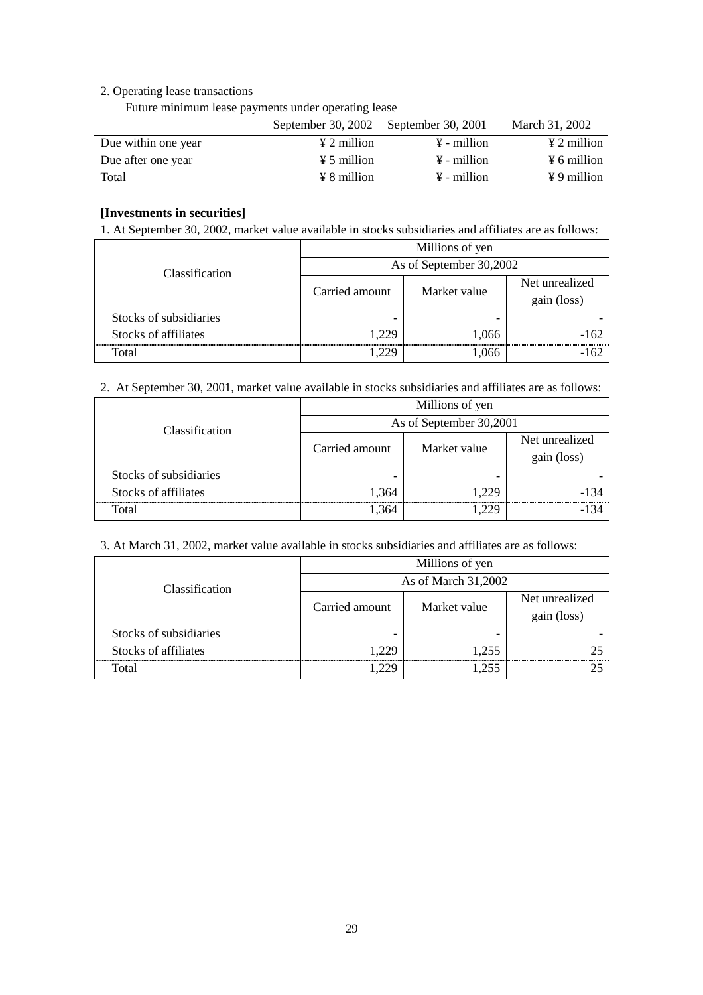#### 2. Operating lease transactions

Future minimum lease payments under operating lease

|                     | September 30, 2002 September 30, 2001 |                         | March 31, 2002          |
|---------------------|---------------------------------------|-------------------------|-------------------------|
| Due within one year | $\angle 2$ million                    | $\frac{1}{2}$ - million | $\angle 2$ million      |
| Due after one year  | $\frac{1}{2}$ 5 million               | $\frac{1}{2}$ - million | $\frac{1}{2}$ 6 million |
| Total               | $\angle 8$ million                    | $\frac{1}{2}$ - million | $\angle 9$ million      |

#### **[Investments in securities]**

1. At September 30, 2002, market value available in stocks subsidiaries and affiliates are as follows:

|                        | Millions of yen         |              |                               |  |  |  |
|------------------------|-------------------------|--------------|-------------------------------|--|--|--|
| Classification         | As of September 30,2002 |              |                               |  |  |  |
|                        | Carried amount          | Market value | Net unrealized<br>gain (loss) |  |  |  |
| Stocks of subsidiaries |                         |              |                               |  |  |  |
| Stocks of affiliates   | 1.229                   | 1,066        | -162                          |  |  |  |
| Total                  |                         | .066         |                               |  |  |  |

2. At September 30, 2001, market value available in stocks subsidiaries and affiliates are as follows:

|                        | Millions of yen         |              |                |  |  |
|------------------------|-------------------------|--------------|----------------|--|--|
| Classification         | As of September 30,2001 |              |                |  |  |
|                        | Carried amount          | Market value | Net unrealized |  |  |
|                        |                         |              | gain (loss)    |  |  |
| Stocks of subsidiaries |                         |              |                |  |  |
| Stocks of affiliates   | 1,364                   | 1.229        | -134           |  |  |
| Total                  | .364                    |              |                |  |  |

3. At March 31, 2002, market value available in stocks subsidiaries and affiliates are as follows:

|                        | Millions of yen     |              |                               |  |  |
|------------------------|---------------------|--------------|-------------------------------|--|--|
| <b>Classification</b>  | As of March 31,2002 |              |                               |  |  |
|                        | Carried amount      | Market value | Net unrealized<br>gain (loss) |  |  |
|                        |                     |              |                               |  |  |
| Stocks of subsidiaries |                     |              |                               |  |  |
| Stocks of affiliates   | 1,229               | 1,255        |                               |  |  |
| Total                  |                     | つちち          |                               |  |  |